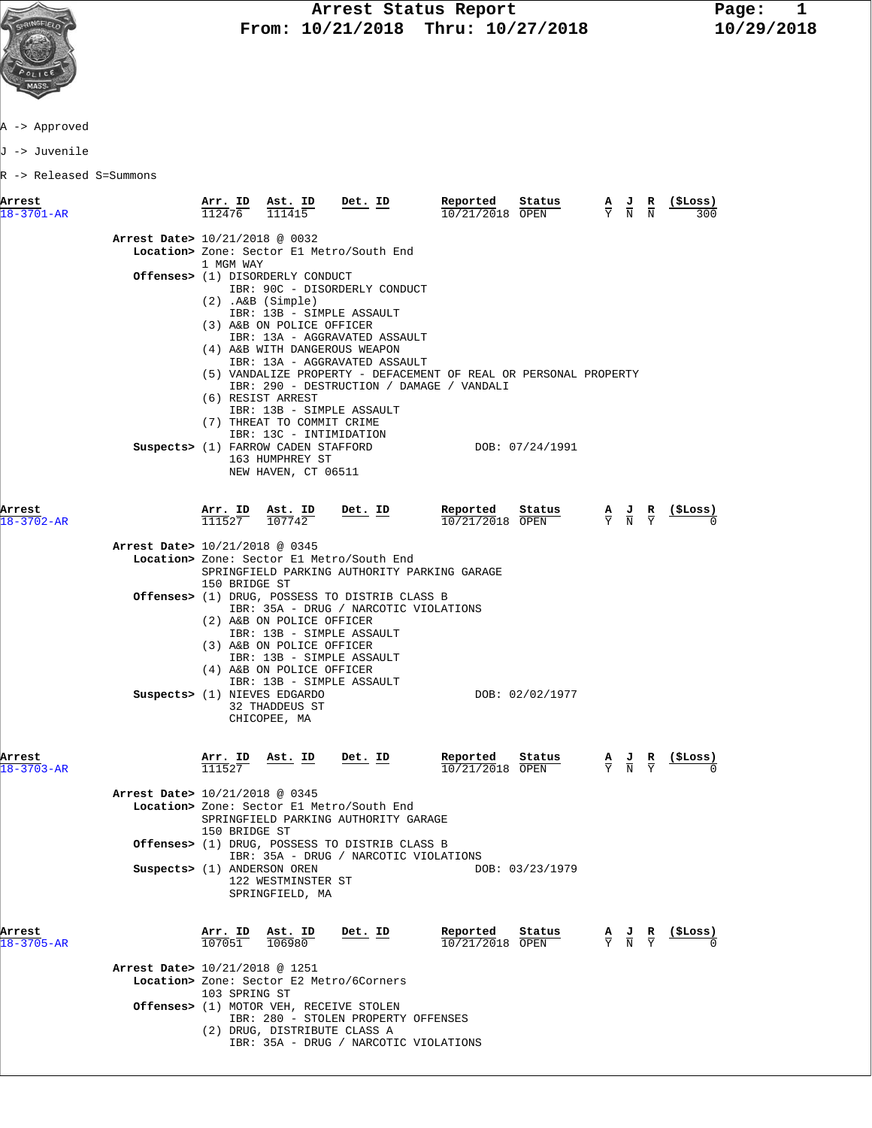

A -> Approved

J -> Juvenile

R -> Released S=Summons

| Arrest<br>$18 - 3701 - AR$                                   | Arr. ID<br>112476              | Ast. ID<br>111415                                                                                                                                                                                                                                                                                                                                 | Det. ID                                                                                                                                                                                                                                                       | Reported<br>10/21/2018 OPEN   | Status          | $\frac{A}{Y}$ $\frac{J}{N}$                                                                     | R<br>$\overline{\mathbf{N}}$ | (\$Loss)<br>300  |
|--------------------------------------------------------------|--------------------------------|---------------------------------------------------------------------------------------------------------------------------------------------------------------------------------------------------------------------------------------------------------------------------------------------------------------------------------------------------|---------------------------------------------------------------------------------------------------------------------------------------------------------------------------------------------------------------------------------------------------------------|-------------------------------|-----------------|-------------------------------------------------------------------------------------------------|------------------------------|------------------|
| Arrest Date> 10/21/2018 @ 0032                               | 1 MGM WAY                      | Offenses> (1) DISORDERLY CONDUCT<br>$(2)$ . A&B $(Simple)$<br>IBR: 13B - SIMPLE ASSAULT<br>(3) A&B ON POLICE OFFICER<br>(4) A&B WITH DANGEROUS WEAPON<br>(6) RESIST ARREST<br>IBR: 13B - SIMPLE ASSAULT<br>(7) THREAT TO COMMIT CRIME<br>IBR: 13C - INTIMIDATION<br>Suspects> (1) FARROW CADEN STAFFORD<br>163 HUMPHREY ST<br>NEW HAVEN, CT 06511 | Location> Zone: Sector El Metro/South End<br>IBR: 90C - DISORDERLY CONDUCT<br>IBR: 13A - AGGRAVATED ASSAULT<br>IBR: 13A - AGGRAVATED ASSAULT<br>(5) VANDALIZE PROPERTY - DEFACEMENT OF REAL OR PERSONAL PROPERTY<br>IBR: 290 - DESTRUCTION / DAMAGE / VANDALI |                               | DOB: 07/24/1991 |                                                                                                 |                              |                  |
| Arrest<br>18-3702-AR                                         | $\frac{\texttt{Arr.}}{111527}$ | $\frac{\texttt{Ast.}}{107742}$                                                                                                                                                                                                                                                                                                                    | <u>Det. ID</u>                                                                                                                                                                                                                                                | Reported<br>10/21/2018 OPEN   | Status          | $\frac{\mathbf{A}}{\mathbf{Y}}$ $\frac{\mathbf{J}}{\mathbf{N}}$ $\frac{\mathbf{R}}{\mathbf{Y}}$ |                              | <u>(ŞLoss)</u>   |
| Arrest Date> 10/21/2018 @ 0345                               |                                |                                                                                                                                                                                                                                                                                                                                                   |                                                                                                                                                                                                                                                               |                               |                 |                                                                                                 |                              |                  |
|                                                              | 150 BRIDGE ST                  |                                                                                                                                                                                                                                                                                                                                                   | Location> Zone: Sector El Metro/South End<br>SPRINGFIELD PARKING AUTHORITY PARKING GARAGE                                                                                                                                                                     |                               |                 |                                                                                                 |                              |                  |
|                                                              |                                | (2) A&B ON POLICE OFFICER<br>IBR: 13B - SIMPLE ASSAULT<br>(3) A&B ON POLICE OFFICER<br>IBR: 13B - SIMPLE ASSAULT<br>(4) A&B ON POLICE OFFICER<br>IBR: 13B - SIMPLE ASSAULT<br>Suspects> (1) NIEVES EDGARDO<br>32 THADDEUS ST<br>CHICOPEE, MA                                                                                                      | <b>Offenses&gt;</b> (1) DRUG, POSSESS TO DISTRIB CLASS B<br>IBR: 35A - DRUG / NARCOTIC VIOLATIONS                                                                                                                                                             |                               | DOB: 02/02/1977 |                                                                                                 |                              |                  |
| Arrest<br>$18 - 3703 - AR$                                   | Arr. ID<br>111527              | <u>Ast. ID</u>                                                                                                                                                                                                                                                                                                                                    | <u>Det. ID</u>                                                                                                                                                                                                                                                | Reported<br>10/21/2018 OPEN   | <u>Status</u>   | $\frac{\mathbf{A}}{\mathbf{Y}}$ $\frac{\mathbf{J}}{\mathbf{N}}$ $\frac{\mathbf{R}}{\mathbf{Y}}$ |                              | <u>( SLoss )</u> |
| Arrest Date> 10/21/2018 @ 0345                               | 150 BRIDGE ST                  |                                                                                                                                                                                                                                                                                                                                                   | Location> Zone: Sector El Metro/South End<br>SPRINGFIELD PARKING AUTHORITY GARAGE                                                                                                                                                                             |                               |                 |                                                                                                 |                              |                  |
| Suspects> (1) ANDERSON OREN                                  |                                | 122 WESTMINSTER ST<br>SPRINGFIELD, MA                                                                                                                                                                                                                                                                                                             | Offenses> (1) DRUG, POSSESS TO DISTRIB CLASS B<br>IBR: 35A - DRUG / NARCOTIC VIOLATIONS                                                                                                                                                                       |                               | DOB: 03/23/1979 |                                                                                                 |                              |                  |
| Arrest<br>$18 - 3705 - AR$<br>Arrest Date> 10/21/2018 @ 1251 | $\frac{\texttt{Arr.}}{107051}$ | $\frac{\texttt{Ast.}}{106980}$<br>Location> Zone: Sector E2 Metro/6Corners                                                                                                                                                                                                                                                                        | Det. ID                                                                                                                                                                                                                                                       | Reported<br>$10/21/2018$ OPEN | Status          | $\frac{\mathbf{A}}{\mathbf{Y}}$ $\frac{\mathbf{J}}{\mathbf{N}}$ $\frac{\mathbf{R}}{\mathbf{Y}}$ |                              | (ŞLoss)          |
|                                                              | 103 SPRING ST                  | Offenses> (1) MOTOR VEH, RECEIVE STOLEN<br>(2) DRUG, DISTRIBUTE CLASS A                                                                                                                                                                                                                                                                           | IBR: 280 - STOLEN PROPERTY OFFENSES<br>IBR: 35A - DRUG / NARCOTIC VIOLATIONS                                                                                                                                                                                  |                               |                 |                                                                                                 |                              |                  |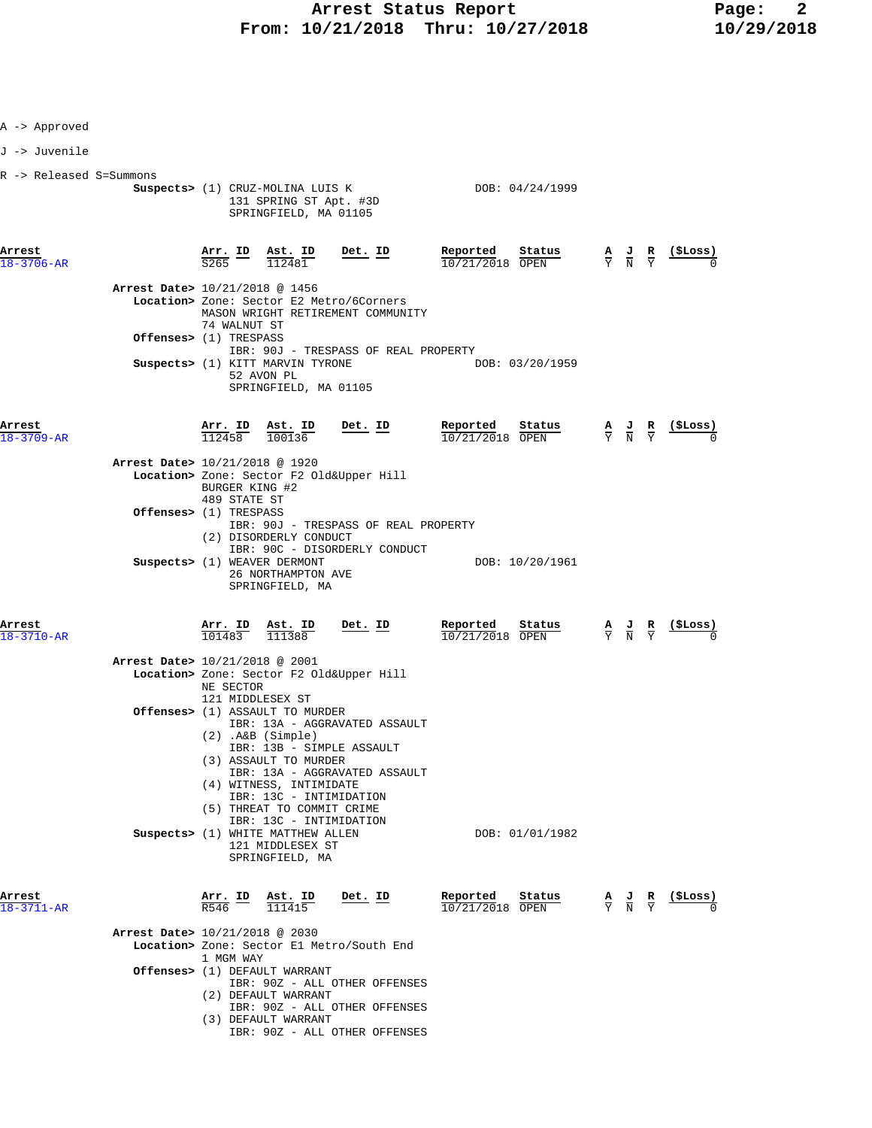| A -> Approved              |                                                                                                                                                  |                                                                                                                        |                                          |                                        |                                                                                                 |                 |
|----------------------------|--------------------------------------------------------------------------------------------------------------------------------------------------|------------------------------------------------------------------------------------------------------------------------|------------------------------------------|----------------------------------------|-------------------------------------------------------------------------------------------------|-----------------|
| J -> Juvenile              |                                                                                                                                                  |                                                                                                                        |                                          |                                        |                                                                                                 |                 |
| R -> Released S=Summons    | Suspects> (1) CRUZ-MOLINA LUIS K                                                                                                                 | 131 SPRING ST Apt. #3D<br>SPRINGFIELD, MA 01105                                                                        |                                          | DOB: 04/24/1999                        |                                                                                                 |                 |
| Arrest<br>18-3706-AR       | $\frac{\text{Arr.}}{\text{S265}}$ ID<br>$\frac{\texttt{Ast.}}{112481}$                                                                           | Det. ID                                                                                                                | Reported<br>$10/21/2018$ OPEN            | Status                                 | $\frac{\mathbf{A}}{\mathbf{Y}}$ $\frac{\mathbf{J}}{\mathbf{N}}$ $\frac{\mathbf{R}}{\mathbf{Y}}$ | <u>(ŞLoss)</u>  |
|                            | Arrest Date> 10/21/2018 @ 1456<br>Location> Zone: Sector E2 Metro/6Corners<br>MASON WRIGHT RETIREMENT COMMUNITY<br>74 WALNUT ST                  |                                                                                                                        |                                          |                                        |                                                                                                 |                 |
|                            | <b>Offenses&gt;</b> (1) TRESPASS                                                                                                                 |                                                                                                                        | IBR: 90J - TRESPASS OF REAL PROPERTY     |                                        |                                                                                                 |                 |
|                            | Suspects> (1) KITT MARVIN TYRONE<br>52 AVON PL                                                                                                   | SPRINGFIELD, MA 01105                                                                                                  |                                          | DOB: 03/20/1959                        |                                                                                                 |                 |
| Arrest<br>$18 - 3709 - AR$ | $\frac{\text{Arr.}}{112458}$ $\frac{\text{Ast.}}{100136}$                                                                                        | $Det. ID$                                                                                                              | Reported<br>10/21/2018 OPEN              | $\frac{\text{Status}}{\text{EXAMPLE}}$ | $\frac{\mathbf{A}}{\mathbf{Y}}$ $\frac{\mathbf{J}}{\mathbf{N}}$ $\frac{\mathbf{R}}{\mathbf{Y}}$ | <u>(\$Loss)</u> |
|                            | Arrest Date> 10/21/2018 @ 1920<br>Location> Zone: Sector F2 Old&Upper Hill<br>BURGER KING #2<br>489 STATE ST                                     |                                                                                                                        |                                          |                                        |                                                                                                 |                 |
|                            | <b>Offenses&gt;</b> (1) TRESPASS<br>(2) DISORDERLY CONDUCT                                                                                       | IBR: 90C - DISORDERLY CONDUCT                                                                                          | IBR: 90J - TRESPASS OF REAL PROPERTY     |                                        |                                                                                                 |                 |
|                            | Suspects> (1) WEAVER DERMONT<br>26 NORTHAMPTON AVE<br>SPRINGFIELD, MA                                                                            |                                                                                                                        |                                          | DOB: 10/20/1961                        |                                                                                                 |                 |
| Arrest<br>$18 - 3710 - AR$ | $\frac{\texttt{Arr.}}{101483}$<br>$\frac{\texttt{Ast.}}{111388}$                                                                                 | <u>Det. ID</u>                                                                                                         | Reported<br>$10/21/2018$ OPEN            | Status                                 | $\frac{\mathbf{A}}{\mathbf{Y}}$ $\frac{\mathbf{J}}{\mathbf{N}}$ $\frac{\mathbf{R}}{\mathbf{Y}}$ | <u>(\$Loss)</u> |
|                            | Arrest Date> 10/21/2018 @ 2001<br>Location> Zone: Sector F2 Old&Upper Hill<br>NE SECTOR<br>121 MIDDLESEX ST                                      |                                                                                                                        |                                          |                                        |                                                                                                 |                 |
|                            | <b>Offenses&gt;</b> (1) ASSAULT TO MURDER<br>(2) .A&B (Simple)<br>(3) ASSAULT TO MURDER<br>(4) WITNESS, INTIMIDATE<br>(5) THREAT TO COMMIT CRIME | IBR: 13A - AGGRAVATED ASSAULT<br>IBR: 13B - SIMPLE ASSAULT<br>IBR: 13A - AGGRAVATED ASSAULT<br>IBR: 13C - INTIMIDATION |                                          |                                        |                                                                                                 |                 |
|                            | Suspects> (1) WHITE MATTHEW ALLEN<br>121 MIDDLESEX ST<br>SPRINGFIELD, MA                                                                         | IBR: 13C - INTIMIDATION                                                                                                |                                          | DOB: 01/01/1982                        |                                                                                                 |                 |
| Arrest<br>18-3711-AR       | $\frac{\texttt{Arr.}}{\texttt{R546}}$ ID<br>$\frac{\text{Ast. ID}}{111415}$                                                                      | Det. ID                                                                                                                | Reported<br>$\overline{10/21/2018}$ OPEN | Status                                 | $\frac{\mathbf{A}}{\mathbf{Y}}$ $\frac{\mathbf{J}}{\mathbf{N}}$ $\frac{\mathbf{R}}{\mathbf{Y}}$ | (ŞLoss)         |
|                            | Arrest Date> 10/21/2018 @ 2030<br>Location> Zone: Sector El Metro/South End<br>1 MGM WAY<br>Offenses> (1) DEFAULT WARRANT                        |                                                                                                                        |                                          |                                        |                                                                                                 |                 |
|                            | (2) DEFAULT WARRANT                                                                                                                              | IBR: 90Z - ALL OTHER OFFENSES                                                                                          |                                          |                                        |                                                                                                 |                 |

- IBR: 90Z ALL OTHER OFFENSES (3) DEFAULT WARRANT
- IBR: 90Z ALL OTHER OFFENSES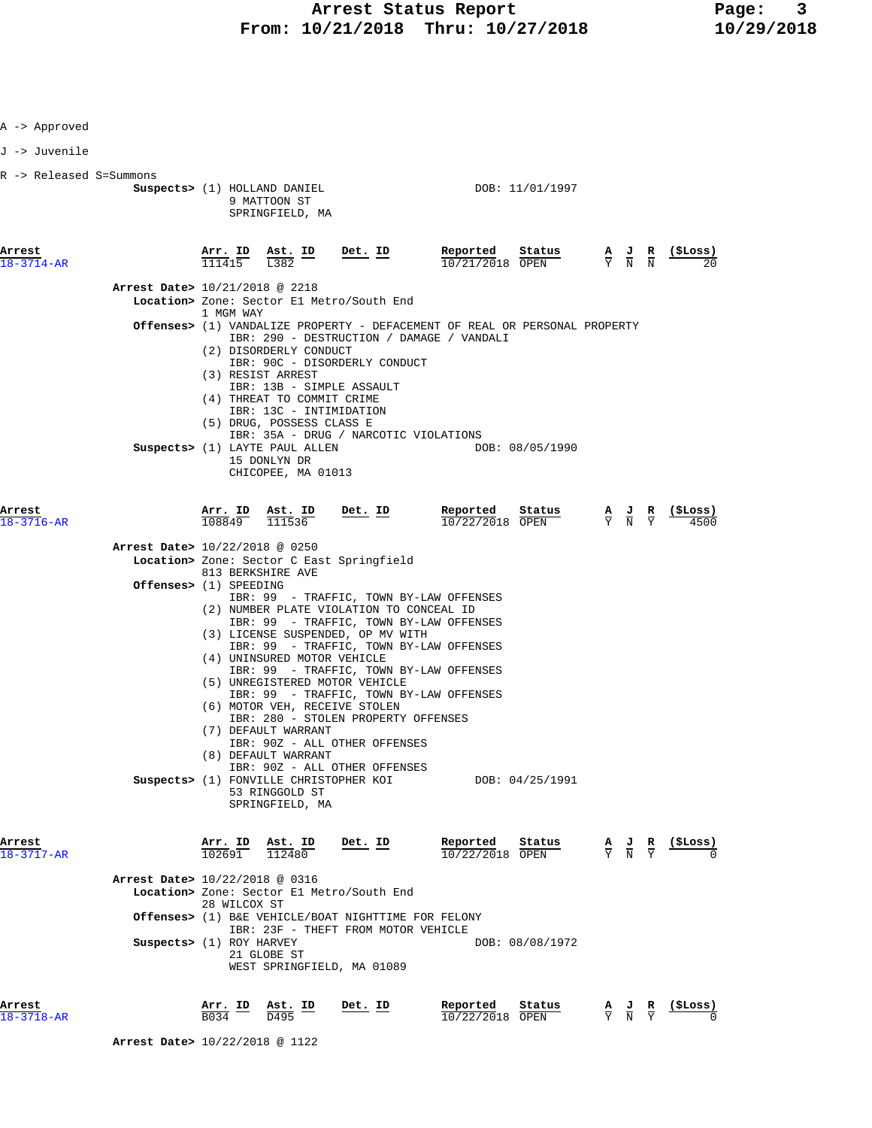| Arrest<br>18-3718-AR                                  |                                                                    | $\frac{\texttt{Arr.}}{\texttt{B034}}$ ID | $\frac{\texttt{Ast.}}{\texttt{D495}}$ ID                                                                                                                                                                                                                                                                                                                                                                                                                                                                                                                                                                                                                                                                                     | Det. ID                       | Reported<br>10/22/2018 OPEN | Status                                                                                                                                          |                                           |                                                                                                 | $\frac{A}{Y}$ $\frac{J}{N}$ $\frac{R}{Y}$ $\frac{($Loss)}{0}$ |
|-------------------------------------------------------|--------------------------------------------------------------------|------------------------------------------|------------------------------------------------------------------------------------------------------------------------------------------------------------------------------------------------------------------------------------------------------------------------------------------------------------------------------------------------------------------------------------------------------------------------------------------------------------------------------------------------------------------------------------------------------------------------------------------------------------------------------------------------------------------------------------------------------------------------------|-------------------------------|-----------------------------|-------------------------------------------------------------------------------------------------------------------------------------------------|-------------------------------------------|-------------------------------------------------------------------------------------------------|---------------------------------------------------------------|
| $18 - 3717 - AR$                                      | Arrest Date> 10/22/2018 @ 0316<br>Suspects> (1) ROY HARVEY         | 28 WILCOX ST                             | Location> Zone: Sector El Metro/South End<br><b>Offenses&gt;</b> (1) B&E VEHICLE/BOAT NIGHTTIME FOR FELONY<br>IBR: 23F - THEFT FROM MOTOR VEHICLE<br>21 GLOBE ST<br>WEST SPRINGFIELD, MA 01089                                                                                                                                                                                                                                                                                                                                                                                                                                                                                                                               |                               |                             | DOB: 08/08/1972                                                                                                                                 |                                           |                                                                                                 |                                                               |
| Arrest                                                |                                                                    |                                          | IBR: 99 - TRAFFIC, TOWN BY-LAW OFFENSES<br>(2) NUMBER PLATE VIOLATION TO CONCEAL ID<br>IBR: 99 - TRAFFIC, TOWN BY-LAW OFFENSES<br>(3) LICENSE SUSPENDED, OP MV WITH<br>IBR: 99 - TRAFFIC, TOWN BY-LAW OFFENSES<br>(4) UNINSURED MOTOR VEHICLE<br>IBR: 99 - TRAFFIC, TOWN BY-LAW OFFENSES<br>(5) UNREGISTERED MOTOR VEHICLE<br>IBR: 99 - TRAFFIC, TOWN BY-LAW OFFENSES<br>(6) MOTOR VEH, RECEIVE STOLEN<br>IBR: 280 - STOLEN PROPERTY OFFENSES<br>(7) DEFAULT WARRANT<br>IBR: 90Z - ALL OTHER OFFENSES<br>(8) DEFAULT WARRANT<br>IBR: 90Z - ALL OTHER OFFENSES<br>Suspects> (1) FONVILLE CHRISTOPHER KOI<br>53 RINGGOLD ST<br>SPRINGFIELD, MA<br>$\frac{\texttt{Arr. ID}}{102691}$ $\frac{\texttt{ Ast. ID}}{112480}$ Det. ID |                               |                             | DOB: 04/25/1991<br>$\frac{\text{Reported}}{10/22/2018}$ OPEN                                                                                    |                                           | $\frac{\mathbf{A}}{\mathbf{Y}}$ $\frac{\mathbf{J}}{\mathbf{N}}$ $\frac{\mathbf{R}}{\mathbf{Y}}$ | $\frac{1}{2}$                                                 |
| Arrest<br>18-3716-AR                                  | Arrest Date> 10/22/2018 @ 0250<br><b>Offenses&gt;</b> (1) SPEEDING |                                          | $\frac{\text{Arr. ID}}{100040}$ $\frac{\text{Ast. ID}}{11152}$<br>$108849$ $111536$<br>Location> Zone: Sector C East Springfield<br>813 BERKSHIRE AVE                                                                                                                                                                                                                                                                                                                                                                                                                                                                                                                                                                        | $Det. ID$                     |                             | Reported Status                                                                                                                                 | $\frac{A}{Y}$ $\frac{J}{N}$ $\frac{R}{Y}$ |                                                                                                 | ( \$Loss)<br>4500                                             |
| R -> Released S=Summons<br>Arrest<br>$18 - 3714 - AR$ | Arrest Date> 10/21/2018 @ 2218                                     | <u>Arr. ID</u><br>111415<br>1 MGM WAY    | Suspects> (1) HOLLAND DANIEL<br>9 MATTOON ST<br>SPRINGFIELD, MA<br>$\frac{\texttt{Ast.}}{\text{L}382}$ ID<br>Location> Zone: Sector El Metro/South End<br><b>Offenses&gt;</b> (1) VANDALIZE PROPERTY - DEFACEMENT OF REAL OR PERSONAL PROPERTY<br>IBR: 290 - DESTRUCTION / DAMAGE / VANDALI<br>(2) DISORDERLY CONDUCT<br>IBR: 90C - DISORDERLY CONDUCT<br>(3) RESIST ARREST<br>IBR: 13B - SIMPLE ASSAULT<br>(4) THREAT TO COMMIT CRIME<br>IBR: 13C - INTIMIDATION<br>(5) DRUG, POSSESS CLASS E<br>IBR: 35A - DRUG / NARCOTIC VIOLATIONS<br>Suspects> (1) LAYTE PAUL ALLEN<br>15 DONLYN DR<br>CHICOPEE, MA 01013                                                                                                              | $\overline{\texttt{Det.}}$ ID | Reported<br>10/21/2018 OPEN | DOB: 11/01/1997<br>$\frac{\text{Status}}{\text{OPEN}}$ $\frac{A}{Y}$ $\frac{J}{N}$ $\frac{R}{N}$ $\frac{(\text{$Loss})}{20}$<br>DOB: 08/05/1990 |                                           |                                                                                                 |                                                               |
| A -> Approved<br>J -> Juvenile                        |                                                                    |                                          |                                                                                                                                                                                                                                                                                                                                                                                                                                                                                                                                                                                                                                                                                                                              |                               |                             |                                                                                                                                                 |                                           |                                                                                                 |                                                               |

 **Arrest Date>** 10/22/2018 @ 1122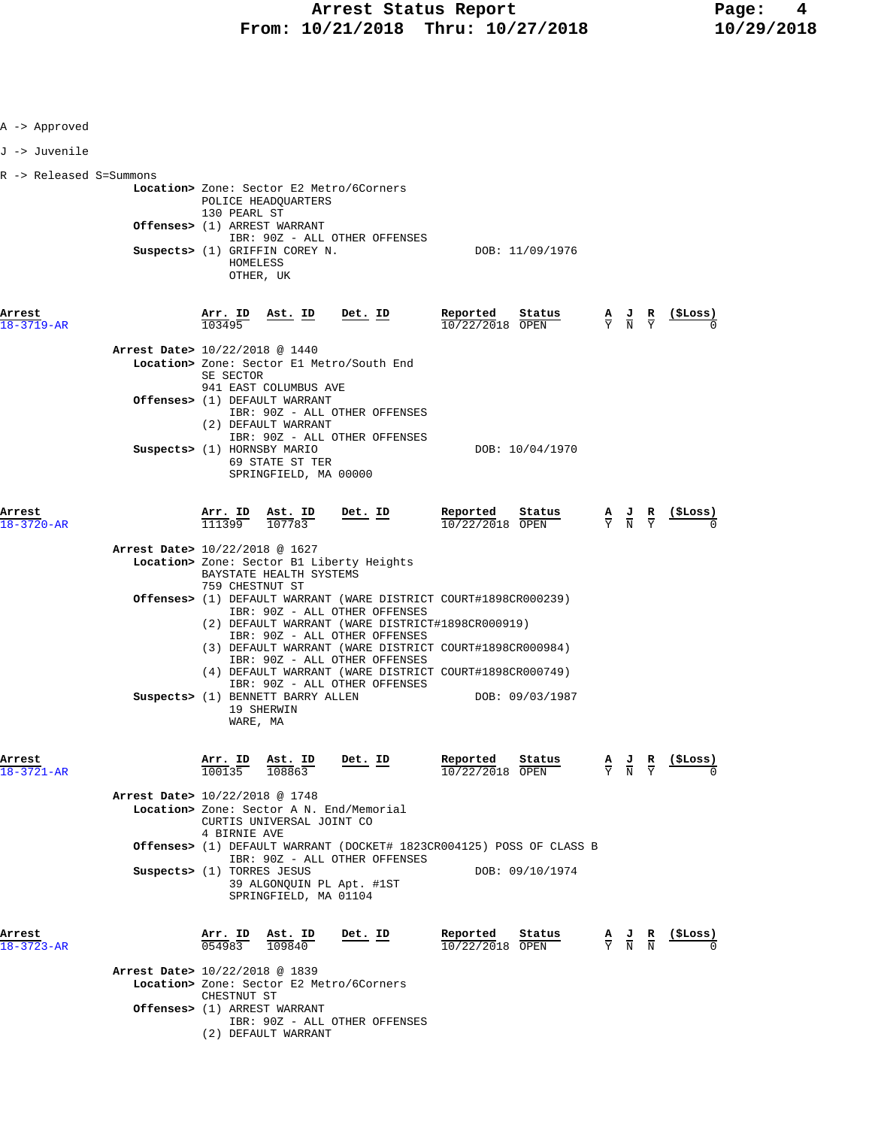| A -> Approved           |                                |                               |                                                                                                                                                                                     |         |                                                                                                                                                                                                                                          |                                                                                |                                                                                                 |                                                               |
|-------------------------|--------------------------------|-------------------------------|-------------------------------------------------------------------------------------------------------------------------------------------------------------------------------------|---------|------------------------------------------------------------------------------------------------------------------------------------------------------------------------------------------------------------------------------------------|--------------------------------------------------------------------------------|-------------------------------------------------------------------------------------------------|---------------------------------------------------------------|
| J -> Juvenile           |                                |                               |                                                                                                                                                                                     |         |                                                                                                                                                                                                                                          |                                                                                |                                                                                                 |                                                               |
| R -> Released S=Summons |                                | 130 PEARL ST                  | Location> Zone: Sector E2 Metro/6Corners<br>POLICE HEADQUARTERS<br>Offenses> (1) ARREST WARRANT<br>IBR: 90Z - ALL OTHER OFFENSES<br>Suspects> (1) GRIFFIN COREY N.                  |         |                                                                                                                                                                                                                                          | DOB: 11/09/1976                                                                |                                                                                                 |                                                               |
| Arrest<br>18-3719-AR    |                                | HOMELESS<br>Arr. ID<br>103495 | OTHER, UK<br>Ast. ID                                                                                                                                                                | Det. ID | Reported<br>$10/22/2018$ OPEN                                                                                                                                                                                                            | Status                                                                         | $\frac{A}{Y}$ $\frac{J}{N}$ $\frac{R}{Y}$                                                       | $\frac{(\text{SLoss})}{\sqrt{2}}$                             |
|                         | Arrest Date> 10/22/2018 @ 1440 | SE SECTOR                     | Location> Zone: Sector El Metro/South End<br>941 EAST COLUMBUS AVE                                                                                                                  |         |                                                                                                                                                                                                                                          |                                                                                |                                                                                                 |                                                               |
|                         | Suspects> (1) HORNSBY MARIO    |                               | Offenses> (1) DEFAULT WARRANT<br>IBR: 90Z - ALL OTHER OFFENSES<br>(2) DEFAULT WARRANT<br>IBR: 90Z - ALL OTHER OFFENSES<br>69 STATE ST TER                                           |         |                                                                                                                                                                                                                                          | DOB: 10/04/1970                                                                |                                                                                                 |                                                               |
| Arrest<br>18-3720-AR    |                                | <u>Arr. ID</u><br>111399      | SPRINGFIELD, MA 00000<br>$\frac{\text{Ast. ID}}{107783}$ Det. ID                                                                                                                    |         | <u>Reported</u><br>$10/22/2018$ OPEN                                                                                                                                                                                                     | Status                                                                         |                                                                                                 | $\frac{A}{Y}$ $\frac{J}{N}$ $\frac{R}{Y}$ $\frac{($Loss)}{0}$ |
|                         | Arrest Date> 10/22/2018 @ 1627 | 759 CHESTNUT ST               | Location> Zone: Sector B1 Liberty Heights<br>BAYSTATE HEALTH SYSTEMS                                                                                                                |         |                                                                                                                                                                                                                                          |                                                                                |                                                                                                 |                                                               |
|                         |                                |                               | IBR: 90Z - ALL OTHER OFFENSES<br>IBR: 90Z - ALL OTHER OFFENSES<br>IBR: 90Z - ALL OTHER OFFENSES<br>IBR: 90Z - ALL OTHER OFFENSES<br>Suspects> (1) BENNETT BARRY ALLEN<br>19 SHERWIN |         | Offenses> (1) DEFAULT WARRANT (WARE DISTRICT COURT#1898CR000239)<br>(2) DEFAULT WARRANT (WARE DISTRICT#1898CR000919)<br>(3) DEFAULT WARRANT (WARE DISTRICT COURT#1898CR000984)<br>(4) DEFAULT WARRANT (WARE DISTRICT COURT#1898CR000749) | DOB: 09/03/1987                                                                |                                                                                                 |                                                               |
| Arrest<br>18-3721-AR    |                                | WARE, MA                      | $\frac{\text{Arr.}}{100135}$ $\frac{\text{Ast.}}{108863}$<br>108863                                                                                                                 | Det. ID | Reported<br>10/22/2018 OPEN                                                                                                                                                                                                              | Status                                                                         | $\frac{A}{Y}$ $\frac{J}{N}$ $\frac{R}{Y}$                                                       | (ŞLoss)                                                       |
|                         | Arrest Date> 10/22/2018 @ 1748 | 4 BIRNIE AVE                  | Location> Zone: Sector A N. End/Memorial<br>CURTIS UNIVERSAL JOINT CO<br>IBR: 90Z - ALL OTHER OFFENSES                                                                              |         |                                                                                                                                                                                                                                          | <b>Offenses&gt;</b> (1) DEFAULT WARRANT (DOCKET# 1823CR004125) POSS OF CLASS B |                                                                                                 |                                                               |
|                         | Suspects> (1) TORRES JESUS     |                               | 39 ALGONQUIN PL Apt. #1ST<br>SPRINGFIELD, MA 01104                                                                                                                                  |         |                                                                                                                                                                                                                                          | DOB: 09/10/1974                                                                |                                                                                                 |                                                               |
| Arrest<br>18-3723-AR    | Arrest Date> 10/22/2018 @ 1839 | Arr. ID<br>0,54983            | Ast. ID<br>109840                                                                                                                                                                   | Det. ID | Reported<br>$10/22/2018$ OPEN                                                                                                                                                                                                            | Status                                                                         | $\frac{\mathbf{A}}{\mathbf{Y}}$ $\frac{\mathbf{J}}{\mathbf{N}}$ $\frac{\mathbf{R}}{\mathbf{N}}$ | (ŞLoss)                                                       |
|                         |                                | CHESTNUT ST                   | Location> Zone: Sector E2 Metro/6Corners<br>Offenses> (1) ARREST WARRANT                                                                                                            |         |                                                                                                                                                                                                                                          |                                                                                |                                                                                                 |                                                               |
|                         |                                |                               | IBR: 90Z - ALL OTHER OFFENSES<br>(2) DEFAULT WARRANT                                                                                                                                |         |                                                                                                                                                                                                                                          |                                                                                |                                                                                                 |                                                               |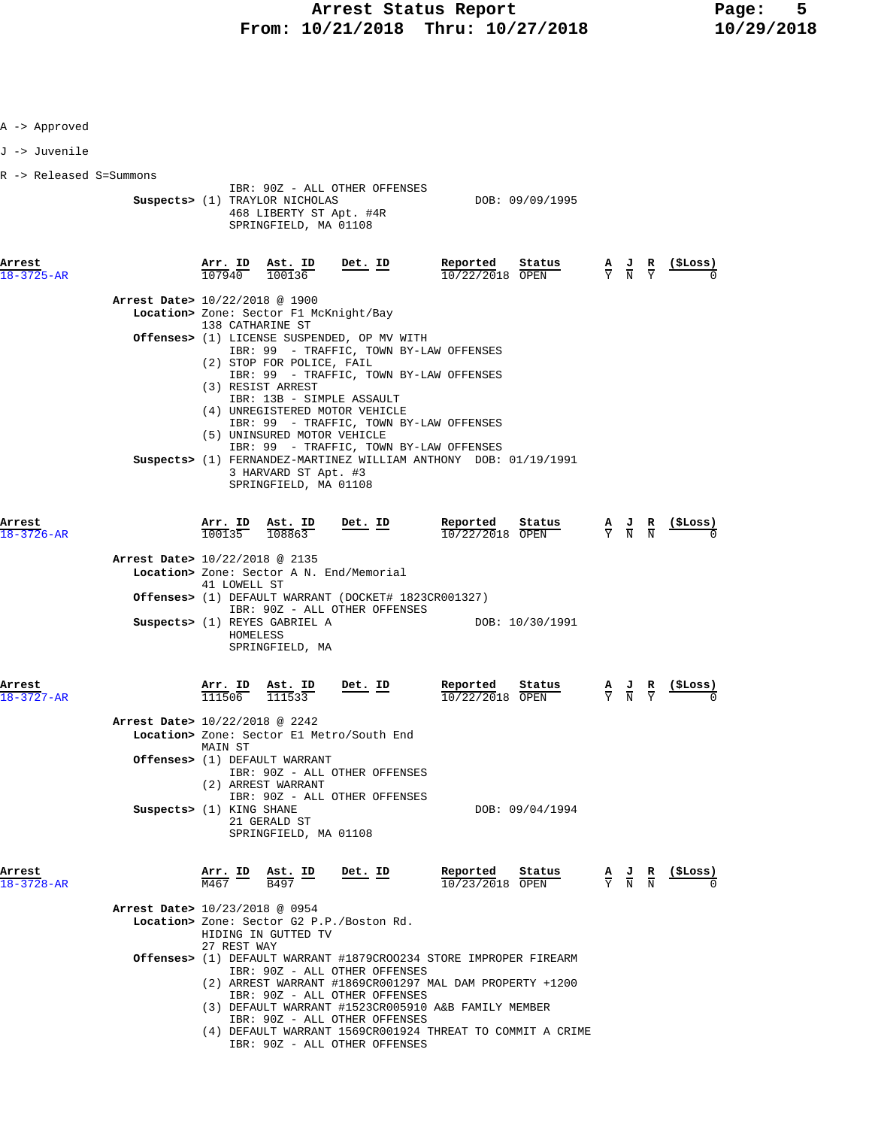| A -> Approved              |                                                            |                   |                                                                                                   |                                                                                                                                                   |                                                                                                                              |                                           |                                                                                                 |                  |
|----------------------------|------------------------------------------------------------|-------------------|---------------------------------------------------------------------------------------------------|---------------------------------------------------------------------------------------------------------------------------------------------------|------------------------------------------------------------------------------------------------------------------------------|-------------------------------------------|-------------------------------------------------------------------------------------------------|------------------|
| J -> Juvenile              |                                                            |                   |                                                                                                   |                                                                                                                                                   |                                                                                                                              |                                           |                                                                                                 |                  |
| R -> Released S=Summons    |                                                            |                   | Suspects> (1) TRAYLOR NICHOLAS<br>468 LIBERTY ST Apt. #4R<br>SPRINGFIELD, MA 01108                | IBR: 90Z - ALL OTHER OFFENSES                                                                                                                     | DOB: 09/09/1995                                                                                                              |                                           |                                                                                                 |                  |
| Arrest<br>$8 - 3725 - AR$  |                                                            | 107940            | Arr. ID Ast. ID<br>100136                                                                         | <u>Det. ID</u>                                                                                                                                    | Reported<br>Status<br>10/22/2018 OPEN                                                                                        | $\frac{A}{Y}$ $\frac{J}{N}$ $\frac{R}{Y}$ |                                                                                                 | (ŞLoss)          |
|                            | Arrest Date> 10/22/2018 @ 1900                             |                   | Location> Zone: Sector F1 McKnight/Bay<br>138 CATHARINE ST<br>(2) STOP FOR POLICE, FAIL           | Offenses> (1) LICENSE SUSPENDED, OP MV WITH<br>IBR: 99 - TRAFFIC, TOWN BY-LAW OFFENSES<br>IBR: 99 - TRAFFIC, TOWN BY-LAW OFFENSES                 |                                                                                                                              |                                           |                                                                                                 |                  |
|                            |                                                            |                   | (3) RESIST ARREST<br>(5) UNINSURED MOTOR VEHICLE<br>3 HARVARD ST Apt. #3<br>SPRINGFIELD, MA 01108 | IBR: 13B - SIMPLE ASSAULT<br>(4) UNREGISTERED MOTOR VEHICLE<br>IBR: 99 - TRAFFIC, TOWN BY-LAW OFFENSES<br>IBR: 99 - TRAFFIC, TOWN BY-LAW OFFENSES | Suspects> (1) FERNANDEZ-MARTINEZ WILLIAM ANTHONY DOB: 01/19/1991                                                             |                                           |                                                                                                 |                  |
| Arrest<br>$18 - 3726 - AR$ |                                                            | 100135            | <u>Arr. ID Ast. ID</u><br>108863                                                                  | Det. ID                                                                                                                                           | Reported<br>Status<br>10/22/2018 OPEN                                                                                        |                                           | $\frac{\mathbf{A}}{\mathbf{Y}}$ $\frac{\mathbf{J}}{\mathbf{N}}$ $\frac{\mathbf{R}}{\mathbf{N}}$ | <u>(SLoss)</u>   |
|                            | Arrest Date> 10/22/2018 @ 2135                             | 41 LOWELL ST      | Suspects> (1) REYES GABRIEL A<br>HOMELESS<br>SPRINGFIELD, MA                                      | Location> Zone: Sector A N. End/Memorial<br>Offenses> (1) DEFAULT WARRANT (DOCKET# 1823CR001327)<br>IBR: 90Z - ALL OTHER OFFENSES                 | DOB: 10/30/1991                                                                                                              |                                           |                                                                                                 |                  |
| Arrest<br>$18 - 3727 - AR$ |                                                            | Arr. ID<br>111506 | Ast. ID<br>111533                                                                                 | Det. ID                                                                                                                                           | Reported<br>Status<br>$\overline{10/22/2018}$ OPEN                                                                           | $\frac{\mathbf{A}}{\mathbf{Y}}$           |                                                                                                 |                  |
|                            | Arrest Date> 10/22/2018 @ 2242<br>Suspects> (1) KING SHANE | MAIN ST           | Offenses> (1) DEFAULT WARRANT<br>(2) ARREST WARRANT                                               | Location> Zone: Sector E1 Metro/South End<br>IBR: 90Z - ALL OTHER OFFENSES<br>IBR: 90Z - ALL OTHER OFFENSES                                       | DOB: 09/04/1994                                                                                                              |                                           |                                                                                                 |                  |
| Arrest<br>18-3728-AR       |                                                            | M467              | 21 GERALD ST<br>SPRINGFIELD, MA 01108<br>Arr. ID Ast. ID<br>B497                                  | $Det$ . ID                                                                                                                                        | Reported<br>Status<br>$\frac{A}{Y}$ $\frac{J}{N}$ $\frac{R}{N}$<br>10/23/2018 OPEN                                           |                                           |                                                                                                 | <u>(\$Los</u> s) |
|                            | Arrest Date> 10/23/2018 @ 0954                             | 27 REST WAY       | HIDING IN GUTTED TV                                                                               | Location> Zone: Sector G2 P.P./Boston Rd.<br>IBR: 90Z - ALL OTHER OFFENSES                                                                        | Offenses> (1) DEFAULT WARRANT #1879CROO234 STORE IMPROPER FIREARM<br>(2) ARREST WARRANT #1869CR001297 MAL DAM PROPERTY +1200 |                                           |                                                                                                 |                  |
|                            |                                                            |                   |                                                                                                   | IBR: 90Z - ALL OTHER OFFENSES<br>IBR: 90Z - ALL OTHER OFFENSES<br>IBR: 90Z - ALL OTHER OFFENSES                                                   | (3) DEFAULT WARRANT #1523CR005910 A&B FAMILY MEMBER<br>(4) DEFAULT WARRANT 1569CR001924 THREAT TO COMMIT A CRIME             |                                           |                                                                                                 |                  |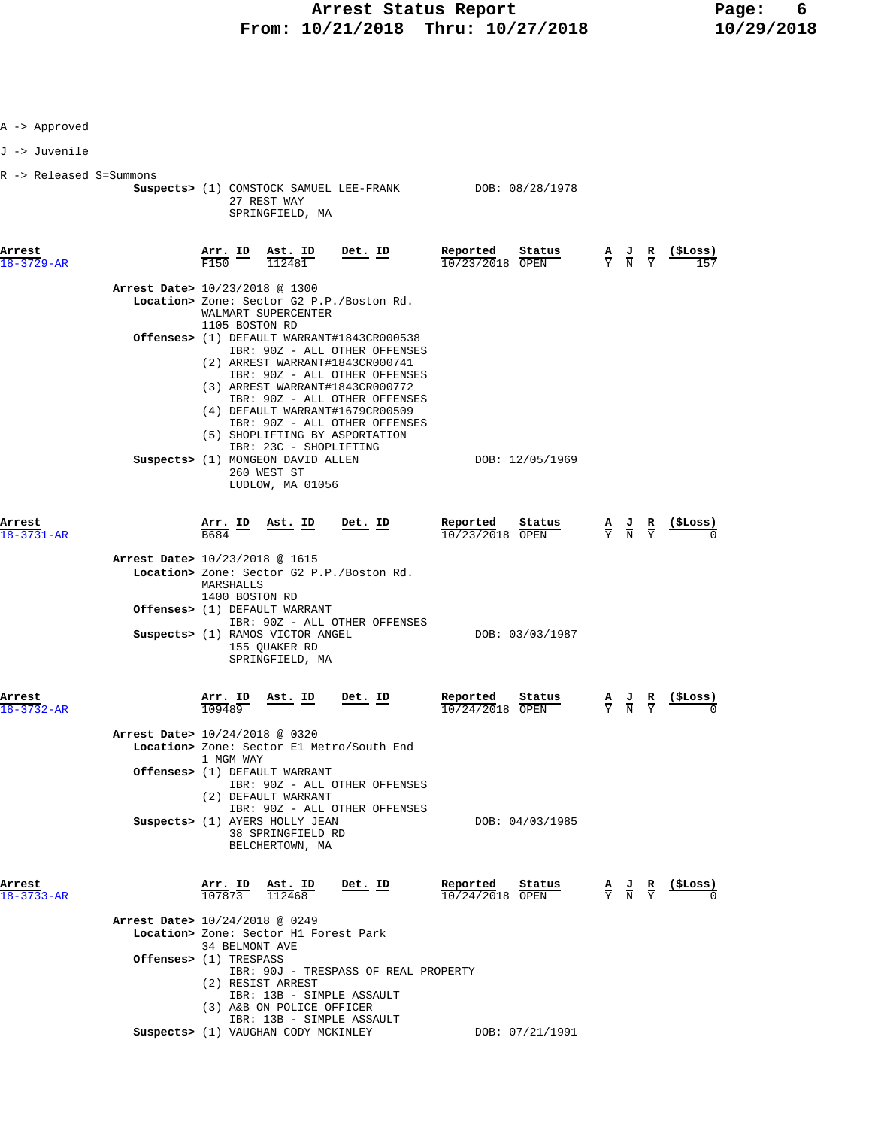|  |  | Approved |
|--|--|----------|
|--|--|----------|

J -> Juvenile

R -> Released S=Summons

| к -> ке⊥еаѕеα s=summons    | Suspects> (1) COMSTOCK SAMUEL LEE-FRANK DOB: 08/28/1978<br>27 REST WAY<br>SPRINGFIELD, MA                                                                                                                                                                                                                                                                     |                                       |                                                                                                                               |
|----------------------------|---------------------------------------------------------------------------------------------------------------------------------------------------------------------------------------------------------------------------------------------------------------------------------------------------------------------------------------------------------------|---------------------------------------|-------------------------------------------------------------------------------------------------------------------------------|
| Arrest<br>$18 - 3729 - AR$ | Arr. ID Ast. ID<br><u>Det. ID</u><br>F150<br>112481                                                                                                                                                                                                                                                                                                           | Reported<br>Status<br>10/23/2018 OPEN | <u>(SLoss)</u><br>$\frac{\mathbf{A}}{\mathbf{Y}}$ $\frac{\mathbf{J}}{\mathbf{N}}$ $\frac{\mathbf{R}}{\mathbf{Y}}$<br>157      |
|                            | Arrest Date> 10/23/2018 @ 1300<br>Location> Zone: Sector G2 P.P./Boston Rd.<br>WALMART SUPERCENTER<br>1105 BOSTON RD                                                                                                                                                                                                                                          |                                       |                                                                                                                               |
|                            | <b>Offenses&gt;</b> (1) DEFAULT WARRANT#1843CR000538<br>IBR: 90Z - ALL OTHER OFFENSES<br>(2) ARREST WARRANT#1843CR000741<br>IBR: 90Z - ALL OTHER OFFENSES<br>(3) ARREST WARRANT#1843CR000772<br>IBR: 90Z - ALL OTHER OFFENSES<br>(4) DEFAULT WARRANT#1679CR00509<br>IBR: 90Z - ALL OTHER OFFENSES<br>(5) SHOPLIFTING BY ASPORTATION<br>IBR: 23C - SHOPLIFTING |                                       |                                                                                                                               |
|                            | Suspects> (1) MONGEON DAVID ALLEN<br>260 WEST ST<br>LUDLOW, MA 01056                                                                                                                                                                                                                                                                                          | DOB: 12/05/1969                       |                                                                                                                               |
| Arrest<br>18-3731-AR       | <u>Arr. ID</u><br><u>Ast. ID</u><br><u>Det. ID</u><br>B684                                                                                                                                                                                                                                                                                                    | Reported<br>Status<br>10/23/2018 OPEN | (SLoss)<br>$\frac{\mathbf{A}}{\mathbf{Y}}$ $\frac{\mathbf{J}}{\mathbf{N}}$ $\frac{\mathbf{R}}{\mathbf{Y}}$                    |
|                            | Arrest Date> 10/23/2018 @ 1615<br>Location> Zone: Sector G2 P.P./Boston Rd.<br>MARSHALLS<br>1400 BOSTON RD<br>Offenses> (1) DEFAULT WARRANT                                                                                                                                                                                                                   |                                       |                                                                                                                               |
|                            | IBR: 90Z - ALL OTHER OFFENSES<br>Suspects> (1) RAMOS VICTOR ANGEL<br>155 QUAKER RD<br>SPRINGFIELD, MA                                                                                                                                                                                                                                                         | DOB: 03/03/1987                       |                                                                                                                               |
| Arrest<br>$18 - 3732 - AR$ | Arr. ID<br><u>Ast. ID</u><br><u>Det. ID</u><br>109489                                                                                                                                                                                                                                                                                                         | Reported<br>Status<br>10/24/2018 OPEN | $\frac{\text{($Loss)}}{0}$<br>$\frac{\mathbf{A}}{\mathbf{Y}}$ $\frac{\mathbf{J}}{\mathbf{N}}$ $\frac{\mathbf{R}}{\mathbf{Y}}$ |
|                            | Arrest Date> 10/24/2018 @ 0320<br>Location> Zone: Sector El Metro/South End<br>1 MGM WAY<br>Offenses> (1) DEFAULT WARRANT<br>IBR: 90Z - ALL OTHER OFFENSES                                                                                                                                                                                                    |                                       |                                                                                                                               |
|                            | (2) DEFAULT WARRANT<br>IBR: 90Z - ALL OTHER OFFENSES<br>Suspects> (1) AYERS HOLLY JEAN<br>38 SPRINGFIELD RD<br>BELCHERTOWN, MA                                                                                                                                                                                                                                | DOB: 04/03/1985                       |                                                                                                                               |
| Arrest<br>$18 - 3733 - AR$ | $\frac{\text{Arr.}}{107873}$<br><u>Ast. ID</u><br>Det. ID<br>112468                                                                                                                                                                                                                                                                                           | Reported<br>Status<br>10/24/2018 OPEN | ( ŞLoss )<br>$\frac{\mathbf{A}}{\mathbf{Y}}$ $\frac{\mathbf{J}}{\mathbf{N}}$ $\frac{\mathbf{R}}{\mathbf{Y}}$                  |
|                            | Arrest Date> 10/24/2018 @ 0249<br>Location> Zone: Sector H1 Forest Park<br>34 BELMONT AVE<br>Offenses> (1) TRESPASS                                                                                                                                                                                                                                           |                                       |                                                                                                                               |
|                            | IBR: 90J - TRESPASS OF REAL PROPERTY<br>(2) RESIST ARREST<br>IBR: 13B - SIMPLE ASSAULT<br>(3) A&B ON POLICE OFFICER                                                                                                                                                                                                                                           |                                       |                                                                                                                               |

 IBR: 13B - SIMPLE ASSAULT  **Suspects>** (1) VAUGHAN CODY MCKINLEY DOB: 07/21/1991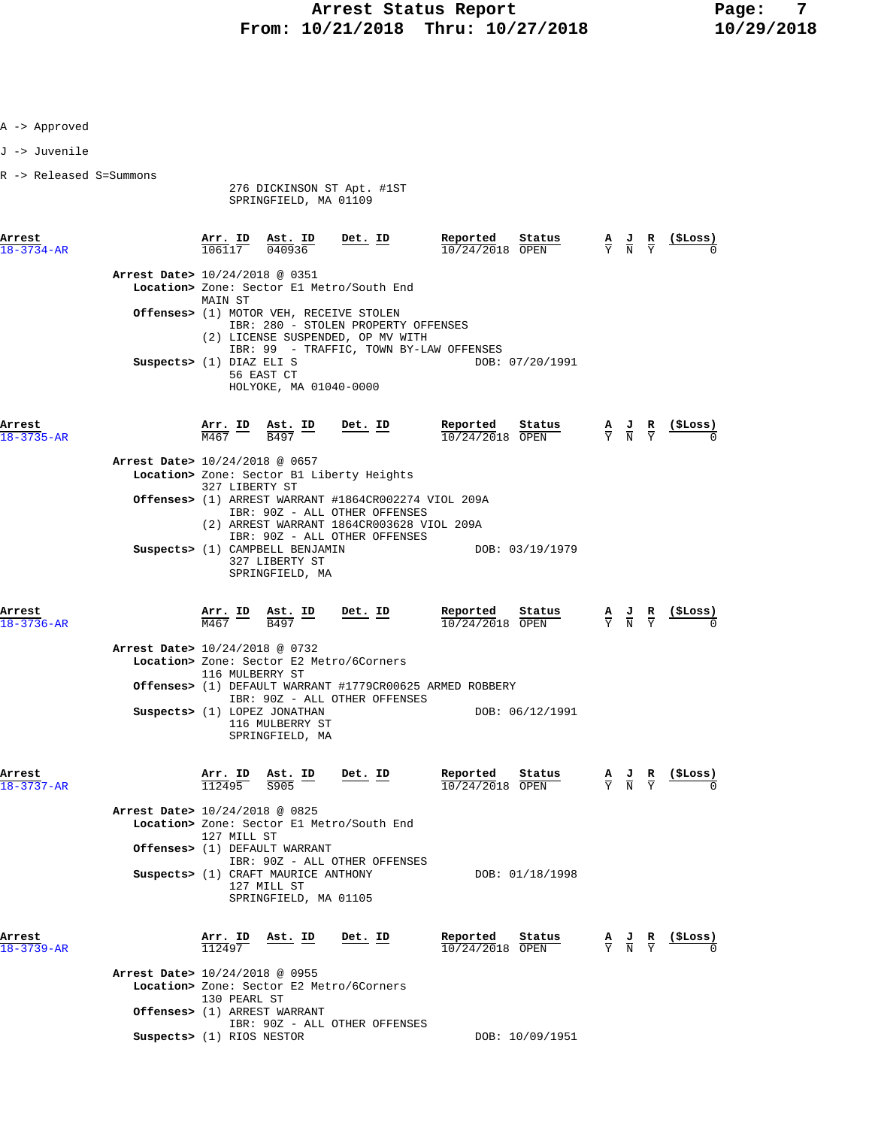R -> Released S=Summons 276 DICKINSON ST Apt. #1ST SPRINGFIELD, MA 01109 **Arrest Arr. ID Ast. ID Det. ID Reported Status A J R (\$Loss)**  $\overline{106117}$   $\overline{040936}$   $\overline{10/24/2018}$   $\overline{OPEN}$   $\overline{Y}$   $\overline{N}$   $\overline{Y}$   $\overline{0}$  **Arrest Date>** 10/24/2018 @ 0351  **Location>** Zone: Sector E1 Metro/South End MAIN ST  **Offenses>** (1) MOTOR VEH, RECEIVE STOLEN IBR: 280 - STOLEN PROPERTY OFFENSES (2) LICENSE SUSPENDED, OP MV WITH IBR: 99 - TRAFFIC, TOWN BY-LAW OFFENSES **Suspects>** (1) DIAZ ELI S DOB: 07/20/1991 56 EAST CT HOLYOKE, MA 01040-0000 **Arrest Arr. ID Ast. ID Det. ID Reported Status A J R (\$Loss)** 18-3735-AR M467 B497 10/24/2018 OPEN Y N Y 0  **Arrest Date>** 10/24/2018 @ 0657  **Location>** Zone: Sector B1 Liberty Heights 327 LIBERTY ST  **Offenses>** (1) ARREST WARRANT #1864CR002274 VIOL 209A IBR: 90Z - ALL OTHER OFFENSES (2) ARREST WARRANT 1864CR003628 VIOL 209A IBR: 90Z - ALL OTHER OFFENSES **Suspects>** (1) CAMPBELL BENJAMIN DOB: 03/19/1979 327 LIBERTY ST SPRINGFIELD, MA **Arrest Arr. ID Ast. ID Det. ID Reported Status A J R (\$Loss)** 18-3736-AR M467 B497 10/24/2018 OPEN Y N Y 0  **Arrest Date>** 10/24/2018 @ 0732  **Location>** Zone: Sector E2 Metro/6Corners 116 MULBERRY ST  **Offenses>** (1) DEFAULT WARRANT #1779CR00625 ARMED ROBBERY IBR: 90Z - ALL OTHER OFFENSES **Suspects>** (1) LOPEZ JONATHAN DOB: 06/12/1991 116 MULBERRY ST SPRINGFIELD, MA **Arrest Arr. ID Ast. ID Det. ID Reported Status A J R (\$Loss)** 18-3737-AR 112495 S905 10/24/2018 OPEN Y N Y 0  **Arrest Date>** 10/24/2018 @ 0825  **Location>** Zone: Sector E1 Metro/South End 127 MILL ST  **Offenses>** (1) DEFAULT WARRANT IBR: 90Z - ALL OTHER OFFENSES **Suspects>** (1) CRAFT MAURICE ANTHONY DOB: 01/18/1998 127 MILL ST SPRINGFIELD, MA 01105 **Arrest Arr. ID Ast. ID Det. ID Reported Status A J R (\$Loss)**  $\frac{18-3739-AR}{I}$  112497  $\frac{112497}{I}$  10/24/2018 OPEN  $\frac{1}{2}$   $\frac{1}{N}$   $\frac{1}{Y}$  0  **Arrest Date>** 10/24/2018 @ 0955  **Location>** Zone: Sector E2 Metro/6Corners 130 PEARL ST  **Offenses>** (1) ARREST WARRANT IBR: 90Z - ALL OTHER OFFENSES **Suspects>** (1) RIOS NESTOR DOB:  $10/09/1951$ 

A -> Approved J -> Juvenile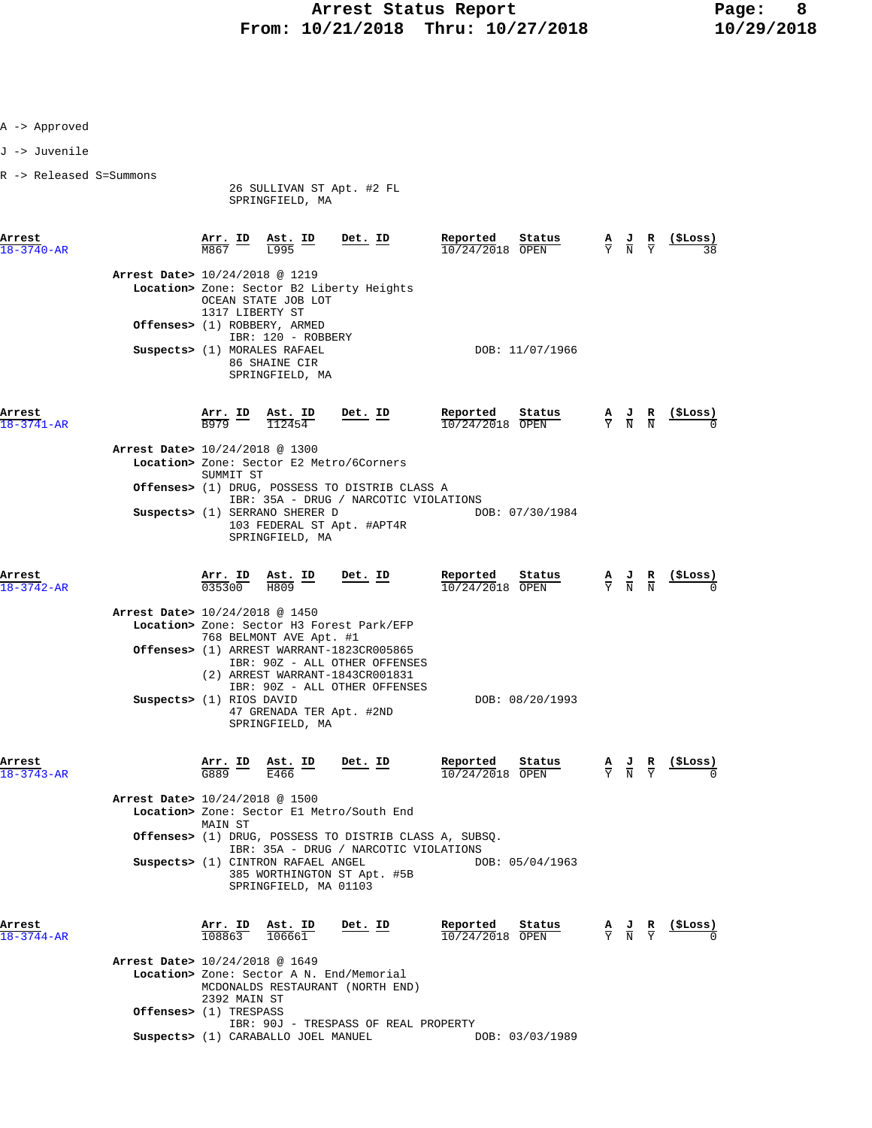- A -> Approved
- J -> Juvenile
- R -> Released S=Summons

 26 SULLIVAN ST Apt. #2 FL SPRINGFIELD, MA

**Arrest Arr. ID Ast. ID Det. ID Reported Status A J R (\$Loss)** 18-3740-AR M867 L995 10/24/2018 OPEN Y N Y 38

|                            | <b>Arrest Date&gt;</b> 10/24/2018 @ 1219<br>Offenses > (1) | 1317 LIBERTY ST         | OCEAN STATE JOB LOT<br>ROBBERY, ARMED                                                  | Location> Zone: Sector B2 Liberty Heights |                             |                 |                             |                   |               |
|----------------------------|------------------------------------------------------------|-------------------------|----------------------------------------------------------------------------------------|-------------------------------------------|-----------------------------|-----------------|-----------------------------|-------------------|---------------|
|                            |                                                            |                         | IBR: 120 - ROBBERY<br>Suspects> (1) MORALES RAFAEL<br>86 SHAINE CIR<br>SPRINGFIELD, MA |                                           |                             | DOB: 11/07/1966 |                             |                   |               |
| Arrest<br>$18 - 3741 - AR$ |                                                            | Arr. ID Ast. ID<br>B979 | 112454                                                                                 | Det. ID                                   | Reported<br>10/24/2018 OPEN | Status          | $\frac{A}{Y}$ $\frac{J}{N}$ | $\mathbf{R}$<br>N | (\$Loss)<br>O |
|                            | <b>Arrest Date&gt;</b> 10/24/2018 @ 1300                   | SUMMIT ST               |                                                                                        | Location> Zone: Sector E2 Metro/6Corners  |                             |                 |                             |                   |               |

 **Offenses>** (1) DRUG, POSSESS TO DISTRIB CLASS A IBR: 35A - DRUG / NARCOTIC VIOLATIONS<br>SERRANO SHERER D DOB: 07/30/1984 **Suspects>** (1) SERRANO SHERER D 103 FEDERAL ST Apt. #APT4R SPRINGFIELD, MA

| Arrest<br>$18 - 3742 - AR$               | Arr. ID<br>035300        | Ast. ID<br>H809         | Det. ID                                                                                           | Reported<br>10/24/2018 OPEN | Status          | Δ<br>Y | J<br>N | 꾠<br>$\mathbf N$ | (SLoss)<br>0 |
|------------------------------------------|--------------------------|-------------------------|---------------------------------------------------------------------------------------------------|-----------------------------|-----------------|--------|--------|------------------|--------------|
| <b>Arrest Date&gt;</b> 10/24/2018 @ 1450 |                          |                         |                                                                                                   |                             |                 |        |        |                  |              |
|                                          |                          |                         | Location> Zone: Sector H3 Forest Park/EFP                                                         |                             |                 |        |        |                  |              |
|                                          |                          | 768 BELMONT AVE Apt. #1 | Offenses> (1) ARREST WARRANT-1823CR005865                                                         |                             |                 |        |        |                  |              |
|                                          |                          |                         | IBR: 90Z - ALL OTHER OFFENSES<br>(2) ARREST WARRANT-1843CR001831<br>IBR: 90Z - ALL OTHER OFFENSES |                             |                 |        |        |                  |              |
|                                          | Suspects> (1) RIOS DAVID | SPRINGFIELD, MA         | 47 GRENADA TER Apt. #2ND                                                                          |                             | DOB: 08/20/1993 |        |        |                  |              |

| Arrest<br>$18 - 3743 - AR$     | Arr. ID<br>G889 | Ast. ID<br>E466                                             | Det. ID                                                                                                   | Reported<br>10/24/2018 OPEN | Status          | А<br>Y | J<br>N | R<br>Y | (\$Loss)<br><sup>0</sup> |
|--------------------------------|-----------------|-------------------------------------------------------------|-----------------------------------------------------------------------------------------------------------|-----------------------------|-----------------|--------|--------|--------|--------------------------|
| Arrest Date> 10/24/2018 @ 1500 |                 |                                                             |                                                                                                           |                             |                 |        |        |        |                          |
|                                | MAIN ST         |                                                             | Location> Zone: Sector El Metro/South End                                                                 |                             |                 |        |        |        |                          |
|                                |                 |                                                             | <b>Offenses&gt;</b> (1) DRUG, POSSESS TO DISTRIB CLASS A, SUBSO.<br>IBR: 35A - DRUG / NARCOTIC VIOLATIONS |                             |                 |        |        |        |                          |
|                                |                 | Suspects> (1) CINTRON RAFAEL ANGEL<br>SPRINGFIELD, MA 01103 | 385 WORTHINGTON ST Apt. #5B                                                                               |                             | DOB: 05/04/1963 |        |        |        |                          |

| Arrest           | Arr    | ΙD. | Ast.  | ID | Det. | ΙD | Reported   | Status |   | $\mathbb{R}$ | ( ŠLoss ) |
|------------------|--------|-----|-------|----|------|----|------------|--------|---|--------------|-----------|
| $18 - 3744 - AF$ | .08863 |     | 06661 |    |      |    | 10/24/2018 | OPEN   | N |              |           |

 $\overline{108863}$   $\overline{108863}$   $\overline{106661}$   $\overline{10/24/2018}$   $\overline{OPEN}$   $\overline{Y}$   $\overline{N}$   $\overline{Y}$   $\overline{0}$   $\overline{0}$  **Arrest Date>** 10/24/2018 @ 1649  **Location>** Zone: Sector A N. End/Memorial MCDONALDS RESTAURANT (NORTH END) 2392 MAIN ST  **Offenses>** (1) TRESPASS IBR: 90J - TRESPASS OF REAL PROPERTY  **Suspects>** (1) CARABALLO JOEL MANUEL DOB: 03/03/1989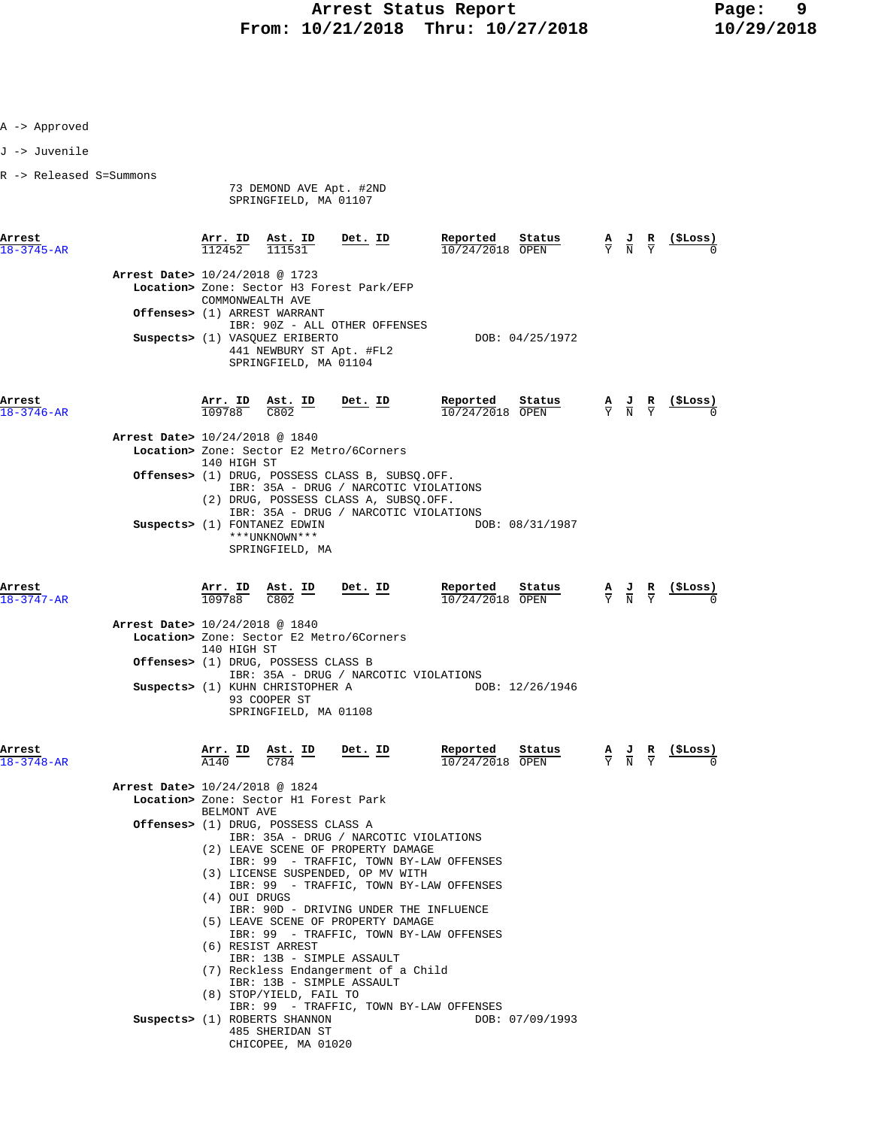- A -> Approved
- J -> Juvenile
- R -> Released S=Summons

73 DEMOND AVE Apt. #2ND

SPRINGFIELD, MA 01107

| Arrest<br>$18 - 3745 - AR$ |                                | Arr. ID<br>112452                        | Ast. ID<br>111531                                                                                                                    | Det. ID                                                                                                                           | Reported<br>10/24/2018 OPEN   | Status          | $\overline{Y}$ | AJ<br>$\overline{N}$                                            | R                                         | $($ \$Loss) |
|----------------------------|--------------------------------|------------------------------------------|--------------------------------------------------------------------------------------------------------------------------------------|-----------------------------------------------------------------------------------------------------------------------------------|-------------------------------|-----------------|----------------|-----------------------------------------------------------------|-------------------------------------------|-------------|
|                            | Arrest Date> 10/24/2018 @ 1723 | COMMONWEALTH AVE                         |                                                                                                                                      | Location> Zone: Sector H3 Forest Park/EFP                                                                                         |                               |                 |                |                                                                 |                                           |             |
|                            |                                |                                          | Offenses> (1) ARREST WARRANT                                                                                                         | IBR: 90Z - ALL OTHER OFFENSES                                                                                                     |                               |                 |                |                                                                 |                                           |             |
|                            |                                |                                          | Suspects> (1) VASQUEZ ERIBERTO<br>441 NEWBURY ST Apt. #FL2<br>SPRINGFIELD, MA 01104                                                  |                                                                                                                                   |                               | DOB: 04/25/1972 |                |                                                                 |                                           |             |
| Arrest<br>$18 - 3746 - AR$ |                                |                                          | $\frac{\texttt{Arr.}}{109788}$ $\frac{\texttt{Ab.}}{C802}$ $\frac{\texttt{ID}}{D}$ $\frac{\texttt{Det.}}{D}$ $\frac{\texttt{ID}}{D}$ |                                                                                                                                   | Reported<br>$10/24/2018$ OPEN | Status          |                | $\frac{\mathbf{A}}{\mathbf{Y}}$ $\frac{\mathbf{J}}{\mathbf{N}}$ | $rac{\mathbf{R}}{\mathbf{Y}}$             |             |
|                            | Arrest Date> 10/24/2018 @ 1840 |                                          |                                                                                                                                      |                                                                                                                                   |                               |                 |                |                                                                 |                                           |             |
|                            |                                | 140 HIGH ST                              |                                                                                                                                      | Location> Zone: Sector E2 Metro/6Corners                                                                                          |                               |                 |                |                                                                 |                                           |             |
|                            |                                |                                          |                                                                                                                                      | Offenses> (1) DRUG, POSSESS CLASS B, SUBSQ.OFF.<br>IBR: 35A - DRUG / NARCOTIC VIOLATIONS<br>(2) DRUG, POSSESS CLASS A, SUBSQ.OFF. |                               |                 |                |                                                                 |                                           |             |
|                            |                                |                                          | Suspects> (1) FONTANEZ EDWIN<br>***UNKNOWN***<br>SPRINGFIELD, MA                                                                     | IBR: 35A - DRUG / NARCOTIC VIOLATIONS                                                                                             |                               | DOB: 08/31/1987 |                |                                                                 |                                           |             |
| Arrest<br>$18 - 3747 - AR$ |                                |                                          | $\frac{\text{Arr. ID}}{109788}$ $\frac{\text{Ast. ID}}{\text{C802}}$                                                                 | $Det. ID$                                                                                                                         | Reported<br>10/24/2018 OPEN   | Status          |                | $\frac{\mathbf{A}}{\mathrm{Y}}$ $\frac{\mathbf{J}}{\mathrm{N}}$ | $rac{\mathbf{R}}{\mathbf{Y}}$             | (ŞLoss)     |
|                            | Arrest Date> 10/24/2018 @ 1840 |                                          |                                                                                                                                      |                                                                                                                                   |                               |                 |                |                                                                 |                                           |             |
|                            |                                | 140 HIGH ST                              |                                                                                                                                      | Location> Zone: Sector E2 Metro/6Corners                                                                                          |                               |                 |                |                                                                 |                                           |             |
|                            |                                |                                          | Offenses> (1) DRUG, POSSESS CLASS B                                                                                                  |                                                                                                                                   |                               |                 |                |                                                                 |                                           |             |
|                            |                                |                                          | Suspects> (1) KUHN CHRISTOPHER A<br>93 COOPER ST<br>SPRINGFIELD, MA 01108                                                            | IBR: 35A - DRUG / NARCOTIC VIOLATIONS                                                                                             |                               | DOB: 12/26/1946 |                |                                                                 |                                           |             |
| Arrest<br>$18 - 3748 - AR$ |                                | $\frac{\texttt{Arr.}}{\texttt{A140}}$ ID | $\frac{\text{Ast.}}{1704}$ ID<br>$C\overline{784}$                                                                                   | Det. ID                                                                                                                           | Reported<br>10/24/2018 OPEN   | Status          |                |                                                                 | $\frac{A}{Y}$ $\frac{J}{N}$ $\frac{R}{Y}$ |             |
|                            | Arrest Date> 10/24/2018 @ 1824 | BELMONT AVE                              | Location> Zone: Sector H1 Forest Park                                                                                                |                                                                                                                                   |                               |                 |                |                                                                 |                                           |             |
|                            |                                |                                          | <b>Offenses&gt;</b> (1) DRUG, POSSESS CLASS A                                                                                        |                                                                                                                                   |                               |                 |                |                                                                 |                                           |             |
|                            |                                |                                          |                                                                                                                                      | IBR: 35A - DRUG / NARCOTIC VIOLATIONS<br>(2) LEAVE SCENE OF PROPERTY DAMAGE                                                       |                               |                 |                |                                                                 |                                           |             |
|                            |                                |                                          |                                                                                                                                      | IBR: 99 - TRAFFIC, TOWN BY-LAW OFFENSES                                                                                           |                               |                 |                |                                                                 |                                           |             |
|                            |                                |                                          |                                                                                                                                      | (3) LICENSE SUSPENDED, OP MV WITH<br>IBR: 99 - TRAFFIC, TOWN BY-LAW OFFENSES                                                      |                               |                 |                |                                                                 |                                           |             |
|                            |                                | (4) OUI DRUGS                            |                                                                                                                                      | IBR: 90D - DRIVING UNDER THE INFLUENCE                                                                                            |                               |                 |                |                                                                 |                                           |             |
|                            |                                |                                          |                                                                                                                                      | (5) LEAVE SCENE OF PROPERTY DAMAGE                                                                                                |                               |                 |                |                                                                 |                                           |             |
|                            |                                |                                          | (6) RESIST ARREST                                                                                                                    | IBR: 99 - TRAFFIC, TOWN BY-LAW OFFENSES                                                                                           |                               |                 |                |                                                                 |                                           |             |
|                            |                                |                                          |                                                                                                                                      | IBR: 13B - SIMPLE ASSAULT                                                                                                         |                               |                 |                |                                                                 |                                           |             |
|                            |                                |                                          |                                                                                                                                      | (7) Reckless Endangerment of a Child<br>IBR: 13B - SIMPLE ASSAULT                                                                 |                               |                 |                |                                                                 |                                           |             |
|                            |                                |                                          | (8) STOP/YIELD, FAIL TO                                                                                                              |                                                                                                                                   |                               |                 |                |                                                                 |                                           |             |
|                            |                                |                                          | Suspects> (1) ROBERTS SHANNON                                                                                                        | IBR: 99 - TRAFFIC, TOWN BY-LAW OFFENSES                                                                                           |                               | DOB: 07/09/1993 |                |                                                                 |                                           |             |
|                            |                                |                                          | 485 SHERIDAN ST<br>CHICOPEE, MA 01020                                                                                                |                                                                                                                                   |                               |                 |                |                                                                 |                                           |             |
|                            |                                |                                          |                                                                                                                                      |                                                                                                                                   |                               |                 |                |                                                                 |                                           |             |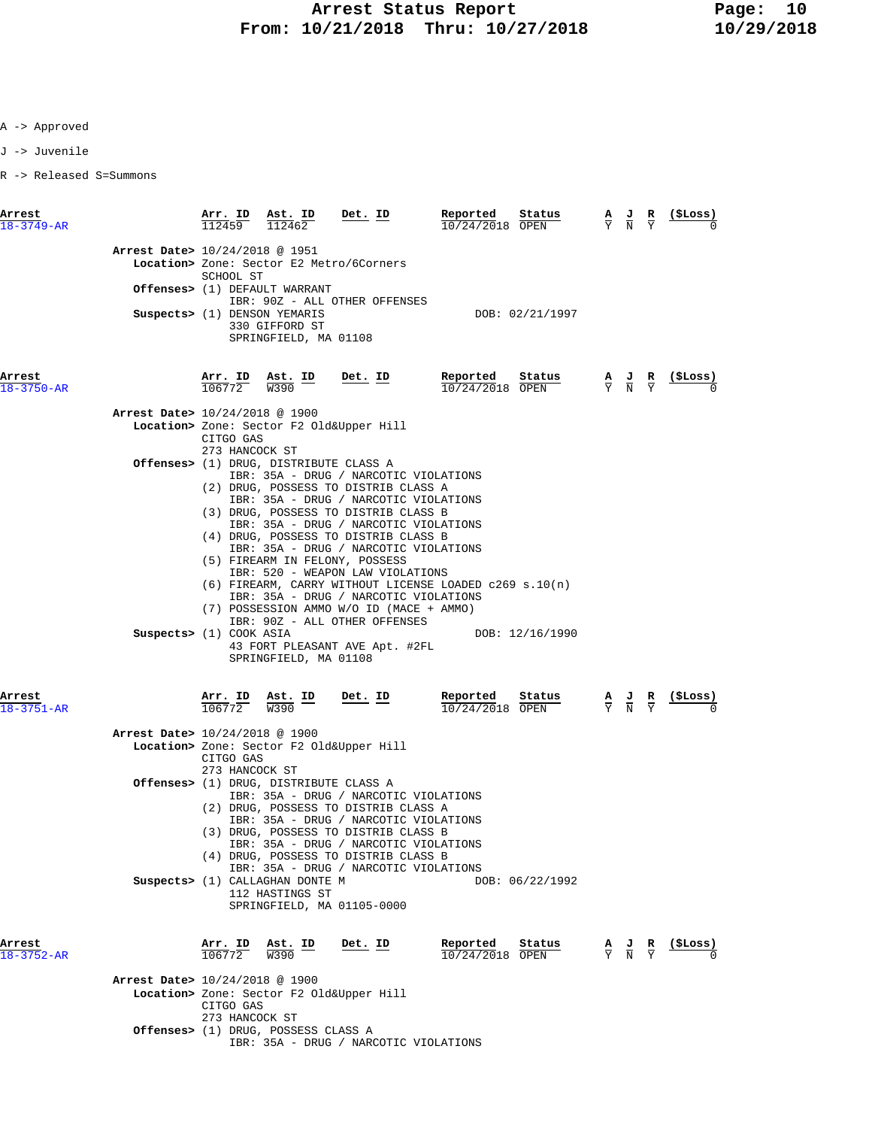A -> Approved

J -> Juvenile

R -> Released S=Summons

| Arrest<br>$18 - 3749 - AR$               | Arr. ID<br>112459           | Ast. ID<br>112462                                                         | Det. ID                                                                                                                                                                                                                                                                                                                                                                                                                                                                                                                | Reported<br>Status<br>$10/24/2018$ OPEN                                     | $\frac{\mathbf{A}}{\mathbf{Y}}$ $\frac{\mathbf{J}}{\mathbf{N}}$ | R                             | (ŞLoss) |
|------------------------------------------|-----------------------------|---------------------------------------------------------------------------|------------------------------------------------------------------------------------------------------------------------------------------------------------------------------------------------------------------------------------------------------------------------------------------------------------------------------------------------------------------------------------------------------------------------------------------------------------------------------------------------------------------------|-----------------------------------------------------------------------------|-----------------------------------------------------------------|-------------------------------|---------|
| Arrest Date> 10/24/2018 @ 1951           | SCHOOL ST                   |                                                                           | Location> Zone: Sector E2 Metro/6Corners                                                                                                                                                                                                                                                                                                                                                                                                                                                                               |                                                                             |                                                                 |                               |         |
|                                          |                             | Offenses> (1) DEFAULT WARRANT                                             | IBR: 90Z - ALL OTHER OFFENSES                                                                                                                                                                                                                                                                                                                                                                                                                                                                                          |                                                                             |                                                                 |                               |         |
|                                          |                             | Suspects> (1) DENSON YEMARIS<br>330 GIFFORD ST<br>SPRINGFIELD, MA 01108   |                                                                                                                                                                                                                                                                                                                                                                                                                                                                                                                        | DOB: 02/21/1997                                                             |                                                                 |                               |         |
| Arrest<br>$18 - 3750 - AR$               | Arr. ID Ast. ID<br>106772   | W390                                                                      | Det. ID                                                                                                                                                                                                                                                                                                                                                                                                                                                                                                                | Reported<br>Status<br>10/24/2018 OPEN                                       | $\frac{A}{Y}$ $\frac{J}{N}$ $\frac{R}{Y}$                       |                               | (ŞLoss) |
| Arrest Date> 10/24/2018 @ 1900           |                             |                                                                           |                                                                                                                                                                                                                                                                                                                                                                                                                                                                                                                        |                                                                             |                                                                 |                               |         |
|                                          | CITGO GAS<br>273 HANCOCK ST |                                                                           | Location> Zone: Sector F2 Old&Upper Hill                                                                                                                                                                                                                                                                                                                                                                                                                                                                               |                                                                             |                                                                 |                               |         |
| Suspects> (1) COOK ASIA                  |                             | <b>Offenses&gt;</b> (1) DRUG, DISTRIBUTE CLASS A<br>SPRINGFIELD, MA 01108 | IBR: 35A - DRUG / NARCOTIC VIOLATIONS<br>(2) DRUG, POSSESS TO DISTRIB CLASS A<br>IBR: 35A - DRUG / NARCOTIC VIOLATIONS<br>(3) DRUG, POSSESS TO DISTRIB CLASS B<br>IBR: 35A - DRUG / NARCOTIC VIOLATIONS<br>(4) DRUG, POSSESS TO DISTRIB CLASS B<br>IBR: 35A - DRUG / NARCOTIC VIOLATIONS<br>(5) FIREARM IN FELONY, POSSESS<br>IBR: 520 - WEAPON LAW VIOLATIONS<br>IBR: 35A - DRUG / NARCOTIC VIOLATIONS<br>(7) POSSESSION AMMO W/O ID (MACE + AMMO)<br>IBR: 90Z - ALL OTHER OFFENSES<br>43 FORT PLEASANT AVE Apt. #2FL | $(6)$ FIREARM, CARRY WITHOUT LICENSE LOADED c269 s.10(n)<br>DOB: 12/16/1990 |                                                                 |                               |         |
| Arrest<br>$18 - 3751 - AR$               | Arr. ID<br>106772           | Ast. ID<br>W390                                                           | $Det$ . ID                                                                                                                                                                                                                                                                                                                                                                                                                                                                                                             | Reported<br>Status<br>10/24/2018 OPEN                                       | $\frac{\mathbf{A}}{\mathbf{Y}}$ $\frac{\mathbf{J}}{\mathbf{N}}$ | $rac{\mathbf{R}}{\mathrm{Y}}$ | (ŞLoss) |
| Arrest Date> 10/24/2018 @ 1900           |                             |                                                                           |                                                                                                                                                                                                                                                                                                                                                                                                                                                                                                                        |                                                                             |                                                                 |                               |         |
|                                          | CITGO GAS<br>273 HANCOCK ST |                                                                           | Location> Zone: Sector F2 Old&Upper Hill                                                                                                                                                                                                                                                                                                                                                                                                                                                                               |                                                                             |                                                                 |                               |         |
|                                          |                             | Offenses> (1) DRUG, DISTRIBUTE CLASS A<br>Suspects> (1) CALLAGHAN DONTE M | IBR: 35A - DRUG / NARCOTIC VIOLATIONS<br>(2) DRUG, POSSESS TO DISTRIB CLASS A<br>IBR: 35A - DRUG / NARCOTIC VIOLATIONS<br>(3) DRUG, POSSESS TO DISTRIB CLASS B<br>IBR: 35A - DRUG / NARCOTIC VIOLATIONS<br>(4) DRUG, POSSESS TO DISTRIB CLASS B<br>IBR: 35A - DRUG / NARCOTIC VIOLATIONS                                                                                                                                                                                                                               | DOB: 06/22/1992                                                             |                                                                 |                               |         |
| Arrest<br>$18 - 3752 - AR$               | Arr. ID<br>106772           | 112 HASTINGS ST<br>Ast. ID<br>W390                                        | SPRINGFIELD, MA 01105-0000<br>Det. ID                                                                                                                                                                                                                                                                                                                                                                                                                                                                                  | Reported<br>Status<br>10/24/2018 OPEN                                       | $\frac{A}{Y}$ $\frac{J}{N}$                                     | R<br>$\overline{v}$           | (ŞLoss) |
|                                          |                             |                                                                           |                                                                                                                                                                                                                                                                                                                                                                                                                                                                                                                        |                                                                             |                                                                 |                               |         |
| <b>Arrest Date&gt;</b> 10/24/2018 @ 1900 | CITGO GAS<br>273 HANCOCK ST |                                                                           | Location> Zone: Sector F2 Old&Upper Hill                                                                                                                                                                                                                                                                                                                                                                                                                                                                               |                                                                             |                                                                 |                               |         |
|                                          |                             | <b>Offenses&gt;</b> (1) DRUG, POSSESS CLASS A                             | IBR: 35A - DRUG / NARCOTIC VIOLATIONS                                                                                                                                                                                                                                                                                                                                                                                                                                                                                  |                                                                             |                                                                 |                               |         |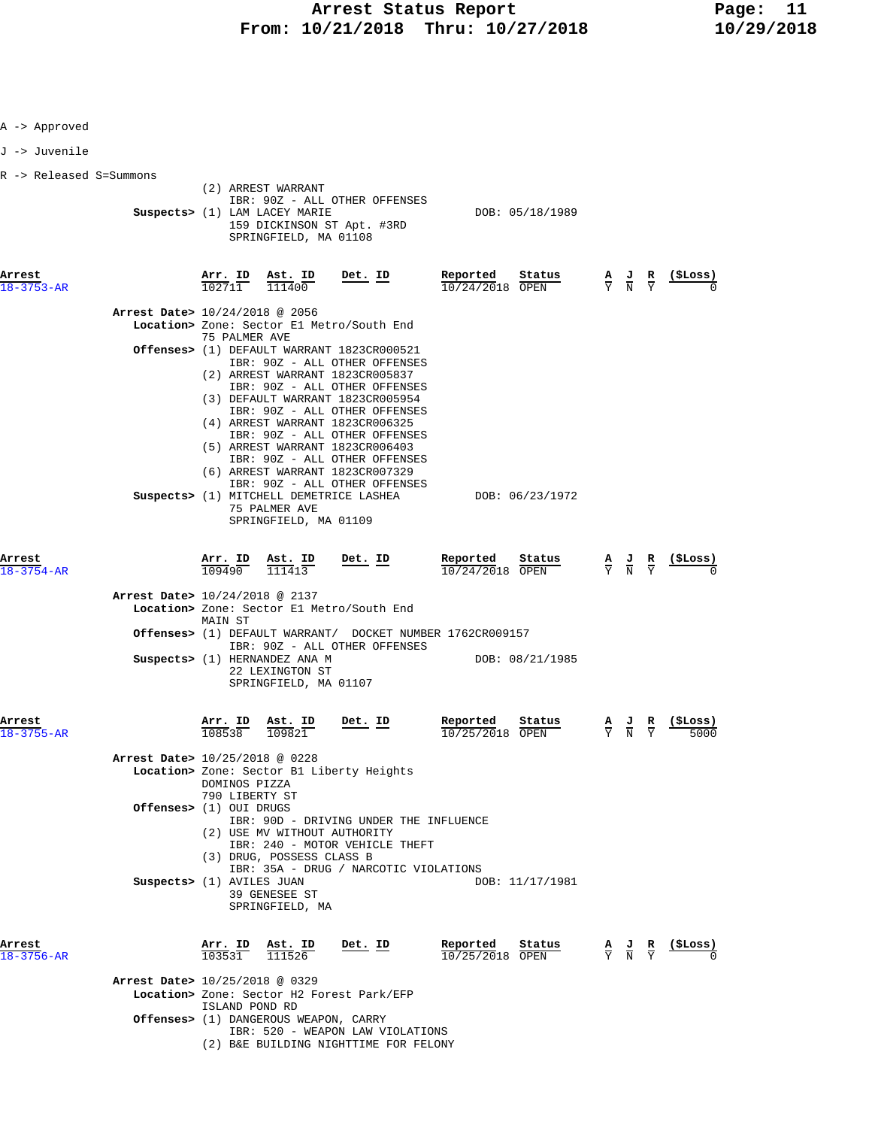| A -> Approved              |                                                                                                                                           |                                                                                                                                  |                                         |                                                                                                       |                                                               |
|----------------------------|-------------------------------------------------------------------------------------------------------------------------------------------|----------------------------------------------------------------------------------------------------------------------------------|-----------------------------------------|-------------------------------------------------------------------------------------------------------|---------------------------------------------------------------|
| J -> Juvenile              |                                                                                                                                           |                                                                                                                                  |                                         |                                                                                                       |                                                               |
| R -> Released S=Summons    | (2) ARREST WARRANT<br>Suspects> (1) LAM LACEY MARIE<br>159 DICKINSON ST Apt. #3RD<br>SPRINGFIELD, MA 01108                                | IBR: 90Z - ALL OTHER OFFENSES                                                                                                    | DOB: 05/18/1989                         |                                                                                                       |                                                               |
| Arrest<br>$18 - 3753 - AR$ | $\frac{\texttt{Arr.}}{102711}$ $\frac{\texttt{ Ast.}}{111400}$                                                                            | <u>Det. ID</u>                                                                                                                   | Reported<br>Status<br>$10/24/2018$ OPEN |                                                                                                       | $\frac{A}{Y}$ $\frac{J}{N}$ $\frac{R}{Y}$ $\frac{($Loss)}{0}$ |
|                            | Arrest Date> 10/24/2018 @ 2056<br>Location> Zone: Sector El Metro/South End                                                               |                                                                                                                                  |                                         |                                                                                                       |                                                               |
|                            | 75 PALMER AVE<br>Offenses> (1) DEFAULT WARRANT 1823CR000521<br>(2) ARREST WARRANT 1823CR005837                                            | IBR: 90Z - ALL OTHER OFFENSES<br>IBR: 90Z - ALL OTHER OFFENSES                                                                   |                                         |                                                                                                       |                                                               |
|                            | (3) DEFAULT WARRANT 1823CR005954<br>(4) ARREST WARRANT 1823CR006325<br>(5) ARREST WARRANT 1823CR006403<br>(6) ARREST WARRANT 1823CR007329 | IBR: 90Z - ALL OTHER OFFENSES<br>IBR: 90Z - ALL OTHER OFFENSES<br>IBR: 90Z - ALL OTHER OFFENSES<br>IBR: 90Z - ALL OTHER OFFENSES |                                         |                                                                                                       |                                                               |
|                            | Suspects> (1) MITCHELL DEMETRICE LASHEA<br>75 PALMER AVE<br>SPRINGFIELD, MA 01109                                                         |                                                                                                                                  | DOB: 06/23/1972                         |                                                                                                       |                                                               |
| Arrest<br>18-3754-AR       | <u>Arr. ID</u><br>$\frac{\texttt{Ast.}}{111413}$<br>109490                                                                                | Det. ID                                                                                                                          | Reported<br>Status<br>10/24/2018 OPEN   |                                                                                                       | $\frac{A}{Y}$ $\frac{J}{N}$ $\frac{R}{Y}$ (\$Loss)            |
|                            | Arrest Date> 10/24/2018 @ 2137<br>Location> Zone: Sector El Metro/South End<br>MAIN ST                                                    |                                                                                                                                  |                                         |                                                                                                       |                                                               |
|                            | Offenses> (1) DEFAULT WARRANT/ DOCKET NUMBER 1762CR009157<br>Suspects> (1) HERNANDEZ ANA M<br>22 LEXINGTON ST<br>SPRINGFIELD, MA 01107    | IBR: 90Z - ALL OTHER OFFENSES                                                                                                    | DOB: 08/21/1985                         |                                                                                                       |                                                               |
| Arrest<br>18–3755–AR       | Arr. ID<br>Ast. ID<br>108538<br>109821                                                                                                    | Det. ID                                                                                                                          | Reported<br>Status<br>10/25/2018 OPEN   | $\frac{\mathbf{A}}{\overline{Y}}$ $\frac{\mathbf{J}}{\overline{N}}$ $\frac{\mathbf{R}}{\overline{Y}}$ | (SLoss)<br>5000                                               |
|                            | Arrest Date> 10/25/2018 @ 0228<br>Location> Zone: Sector B1 Liberty Heights<br>DOMINOS PIZZA<br>790 LIBERTY ST                            |                                                                                                                                  |                                         |                                                                                                       |                                                               |
|                            | Offenses> (1) OUI DRUGS<br>(2) USE MV WITHOUT AUTHORITY<br>(3) DRUG, POSSESS CLASS B                                                      | IBR: 90D - DRIVING UNDER THE INFLUENCE<br>IBR: 240 - MOTOR VEHICLE THEFT                                                         |                                         |                                                                                                       |                                                               |
|                            | Suspects> (1) AVILES JUAN<br>39 GENESEE ST<br>SPRINGFIELD, MA                                                                             | IBR: 35A - DRUG / NARCOTIC VIOLATIONS                                                                                            | DOB: 11/17/1981                         |                                                                                                       |                                                               |
| Arrest<br>18-3756-AR       | Arr. ID<br>Ast. ID<br>103531<br>111526                                                                                                    | Det. ID                                                                                                                          | Reported<br>Status<br>10/25/2018 OPEN   | $\frac{A}{Y}$ $\frac{J}{N}$ $\frac{R}{Y}$                                                             | (ŞLoss)                                                       |
|                            | Arrest Date> 10/25/2018 @ 0329<br>Location> Zone: Sector H2 Forest Park/EFP<br>ISLAND POND RD                                             |                                                                                                                                  |                                         |                                                                                                       |                                                               |
|                            | <b>Offenses&gt;</b> (1) DANGEROUS WEAPON, CARRY                                                                                           |                                                                                                                                  |                                         |                                                                                                       |                                                               |

- IBR: 520 WEAPON LAW VIOLATIONS
- (2) B&E BUILDING NIGHTTIME FOR FELONY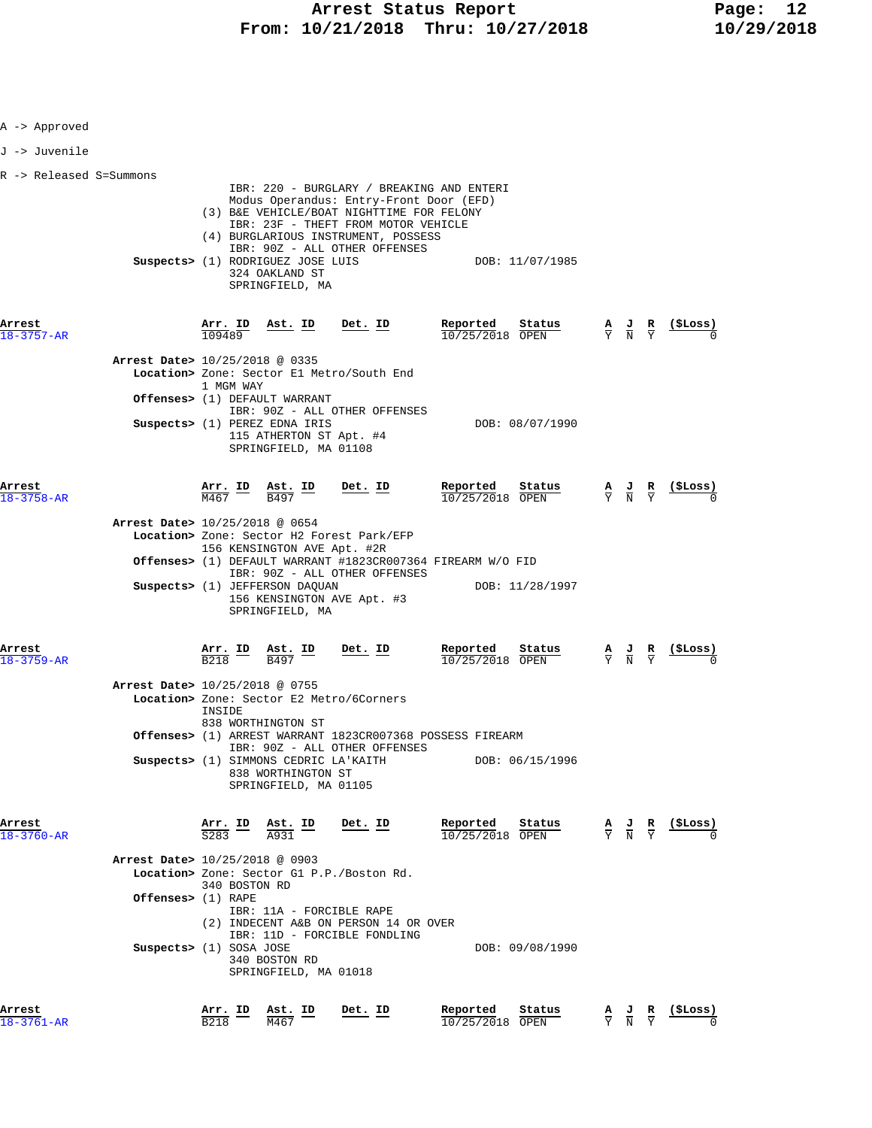| A -> Approved                  |                                          |                                                                                                                    |                                                                                                                                                                                                                                                                                       |                                                                                          |                                                                                                 |                                                                                                 |                                                                                 |
|--------------------------------|------------------------------------------|--------------------------------------------------------------------------------------------------------------------|---------------------------------------------------------------------------------------------------------------------------------------------------------------------------------------------------------------------------------------------------------------------------------------|------------------------------------------------------------------------------------------|-------------------------------------------------------------------------------------------------|-------------------------------------------------------------------------------------------------|---------------------------------------------------------------------------------|
| J -> Juvenile                  |                                          |                                                                                                                    |                                                                                                                                                                                                                                                                                       |                                                                                          |                                                                                                 |                                                                                                 |                                                                                 |
| R -> Released S=Summons        |                                          |                                                                                                                    |                                                                                                                                                                                                                                                                                       |                                                                                          |                                                                                                 |                                                                                                 |                                                                                 |
|                                |                                          | 324 OAKLAND ST<br>SPRINGFIELD, MA                                                                                  | IBR: 220 - BURGLARY / BREAKING AND ENTERI<br>Modus Operandus: Entry-Front Door (EFD)<br>(3) B&E VEHICLE/BOAT NIGHTTIME FOR FELONY<br>IBR: 23F - THEFT FROM MOTOR VEHICLE<br>(4) BURGLARIOUS INSTRUMENT, POSSESS<br>IBR: 90Z - ALL OTHER OFFENSES<br>Suspects> (1) RODRIGUEZ JOSE LUIS | DOB: 11/07/1985                                                                          |                                                                                                 |                                                                                                 |                                                                                 |
| Arrest<br>$18 - 3757 - AR$     | <u>Arr. ID</u><br>109489                 | Ast. ID Det. ID                                                                                                    |                                                                                                                                                                                                                                                                                       | Reported<br>Status<br>10/25/2018 OPEN                                                    |                                                                                                 | $\frac{\mathbf{A}}{\mathbf{Y}}$ $\frac{\mathbf{J}}{\mathbf{N}}$ $\frac{\mathbf{R}}{\mathbf{Y}}$ | $\frac{(\texttt{SLoss})}{\alpha}$                                               |
| Arrest Date> 10/25/2018 @ 0335 | 1 MGM WAY                                |                                                                                                                    | Location> Zone: Sector El Metro/South End                                                                                                                                                                                                                                             |                                                                                          |                                                                                                 |                                                                                                 |                                                                                 |
|                                |                                          | Offenses> (1) DEFAULT WARRANT<br>Suspects> (1) PEREZ EDNA IRIS<br>115 ATHERTON ST Apt. #4<br>SPRINGFIELD, MA 01108 | IBR: 90Z - ALL OTHER OFFENSES                                                                                                                                                                                                                                                         | DOB: 08/07/1990                                                                          |                                                                                                 |                                                                                                 |                                                                                 |
| Arrest<br>18-3758-AR           | $\frac{\texttt{Arr.}}{\texttt{M467}}$ ID | $rac{\text{Ast. ID}}{B497}$ Det. ID                                                                                |                                                                                                                                                                                                                                                                                       | Reported<br>Status<br>10/25/2018 OPEN                                                    |                                                                                                 |                                                                                                 | $\frac{A}{Y}$ $\frac{J}{N}$ $\frac{R}{Y}$ $\frac{($Loss)}{0}$                   |
| Arrest Date> 10/25/2018 @ 0654 |                                          | 156 KENSINGTON AVE Apt. #2R<br>Suspects> (1) JEFFERSON DAQUAN<br>SPRINGFIELD, MA                                   | Location> Zone: Sector H2 Forest Park/EFP<br>IBR: 90Z - ALL OTHER OFFENSES<br>156 KENSINGTON AVE Apt. #3                                                                                                                                                                              | <b>Offenses&gt;</b> (1) DEFAULT WARRANT #1823CR007364 FIREARM W/O FID<br>DOB: 11/28/1997 |                                                                                                 |                                                                                                 |                                                                                 |
| Arrest<br>18-3759-AR           |                                          | $\frac{\text{Arr.}}{\text{B218}}$ ID $\frac{\text{Ast.}}{\text{B497}}$                                             | $Det. ID$                                                                                                                                                                                                                                                                             | Reported<br>Status<br>10/25/2018 OPEN                                                    |                                                                                                 |                                                                                                 | $\frac{A}{Y}$ $\frac{J}{N}$ $\frac{R}{Y}$ $\frac{(\frac{5}{7} \text{Loss})}{0}$ |
| Arrest Date> 10/25/2018 @ 0755 | INSIDE                                   | 838 WORTHINGTON ST                                                                                                 | Location> Zone: Sector E2 Metro/6Corners                                                                                                                                                                                                                                              |                                                                                          |                                                                                                 |                                                                                                 |                                                                                 |
|                                |                                          | Suspects> (1) SIMMONS CEDRIC LA'KAITH<br>838 WORTHINGTON ST<br>SPRINGFIELD, MA 01105                               | Offenses> (1) ARREST WARRANT 1823CR007368 POSSESS FIREARM<br>IBR: 90Z - ALL OTHER OFFENSES                                                                                                                                                                                            | DOB: 06/15/1996                                                                          |                                                                                                 |                                                                                                 |                                                                                 |
| Arrest<br>18-3760-AR           | Arr. ID                                  | Ast. ID<br>A931                                                                                                    | <u>Det. ID</u>                                                                                                                                                                                                                                                                        | Reported<br>Status<br>10/25/2018 OPEN                                                    | $\frac{A}{Y}$ $\frac{J}{N}$ $\frac{R}{Y}$                                                       |                                                                                                 | (\$Loss)                                                                        |
| Arrest Date> 10/25/2018 @ 0903 | 340 BOSTON RD                            |                                                                                                                    | Location> Zone: Sector G1 P.P./Boston Rd.                                                                                                                                                                                                                                             |                                                                                          |                                                                                                 |                                                                                                 |                                                                                 |
|                                | Offenses> (1) RAPE                       | IBR: 11A - FORCIBLE RAPE                                                                                           | (2) INDECENT A&B ON PERSON 14 OR OVER                                                                                                                                                                                                                                                 |                                                                                          |                                                                                                 |                                                                                                 |                                                                                 |
|                                | Suspects> (1) SOSA JOSE                  | 340 BOSTON RD<br>SPRINGFIELD, MA 01018                                                                             | IBR: 11D - FORCIBLE FONDLING                                                                                                                                                                                                                                                          | DOB: 09/08/1990                                                                          |                                                                                                 |                                                                                                 |                                                                                 |
| Arrest<br>18-3761-AR           | Arr. ID<br><b>B218</b>                   | Ast. ID<br>M467                                                                                                    | Det. ID                                                                                                                                                                                                                                                                               | Reported<br>Status<br>10/25/2018 OPEN                                                    | $\frac{\mathbf{A}}{\mathbf{Y}}$ $\frac{\mathbf{J}}{\mathbf{N}}$ $\frac{\mathbf{R}}{\mathbf{Y}}$ |                                                                                                 | <u>(SLoss)</u>                                                                  |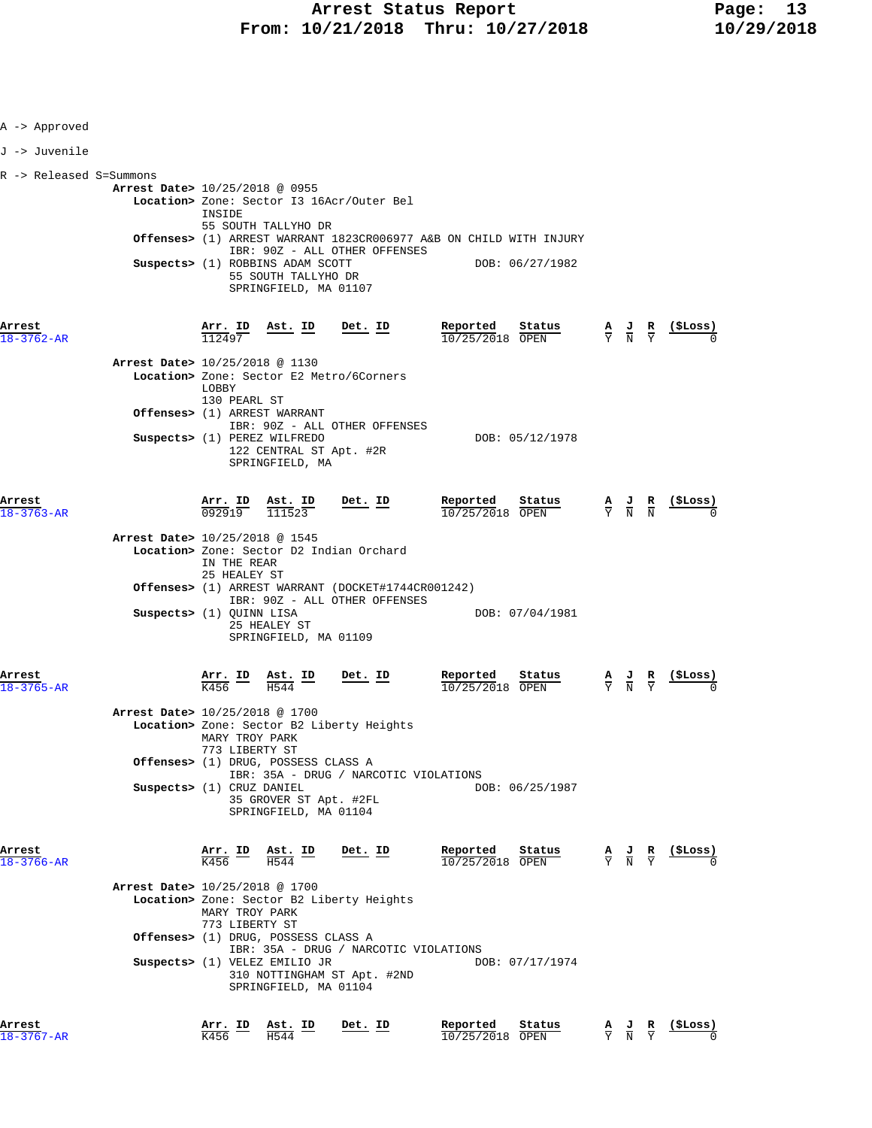| A -> Approved              |                                |                                                |                                                                                  |                                                    |                                                                    |                                 |                                                                                                 |                                                                                                 |                                                               |
|----------------------------|--------------------------------|------------------------------------------------|----------------------------------------------------------------------------------|----------------------------------------------------|--------------------------------------------------------------------|---------------------------------|-------------------------------------------------------------------------------------------------|-------------------------------------------------------------------------------------------------|---------------------------------------------------------------|
| J -> Juvenile              |                                |                                                |                                                                                  |                                                    |                                                                    |                                 |                                                                                                 |                                                                                                 |                                                               |
|                            |                                |                                                |                                                                                  |                                                    |                                                                    |                                 |                                                                                                 |                                                                                                 |                                                               |
| R -> Released S=Summons    |                                |                                                |                                                                                  |                                                    |                                                                    |                                 |                                                                                                 |                                                                                                 |                                                               |
|                            | Arrest Date> 10/25/2018 @ 0955 |                                                |                                                                                  |                                                    |                                                                    |                                 |                                                                                                 |                                                                                                 |                                                               |
|                            |                                | INSIDE                                         |                                                                                  | Location> Zone: Sector I3 16Acr/Outer Bel          |                                                                    |                                 |                                                                                                 |                                                                                                 |                                                               |
|                            |                                |                                                | 55 SOUTH TALLYHO DR                                                              |                                                    | Offenses> (1) ARREST WARRANT 1823CR006977 A&B ON CHILD WITH INJURY |                                 |                                                                                                 |                                                                                                 |                                                               |
|                            |                                |                                                |                                                                                  | IBR: 90Z - ALL OTHER OFFENSES                      |                                                                    |                                 |                                                                                                 |                                                                                                 |                                                               |
|                            |                                |                                                | Suspects> (1) ROBBINS ADAM SCOTT<br>55 SOUTH TALLYHO DR<br>SPRINGFIELD, MA 01107 |                                                    | DOB: 06/27/1982                                                    |                                 |                                                                                                 |                                                                                                 |                                                               |
| Arrest<br>$18 - 3762 - AR$ |                                | Arr. ID<br>112497                              | <u>Ast. ID</u>                                                                   | Det. ID                                            | Reported<br>Status<br>$10/25/2018$ OPEN                            |                                 | $\frac{\mathbf{A}}{\mathbf{Y}}$ $\frac{\mathbf{J}}{\mathbf{N}}$ $\frac{\mathbf{R}}{\mathbf{Y}}$ |                                                                                                 | $(5$ Loss)                                                    |
|                            | Arrest Date> 10/25/2018 @ 1130 |                                                |                                                                                  |                                                    |                                                                    |                                 |                                                                                                 |                                                                                                 |                                                               |
|                            |                                | LOBBY                                          |                                                                                  | Location> Zone: Sector E2 Metro/6Corners           |                                                                    |                                 |                                                                                                 |                                                                                                 |                                                               |
|                            |                                | 130 PEARL ST                                   | Offenses> (1) ARREST WARRANT                                                     |                                                    |                                                                    |                                 |                                                                                                 |                                                                                                 |                                                               |
|                            |                                |                                                |                                                                                  | IBR: 90Z - ALL OTHER OFFENSES                      |                                                                    |                                 |                                                                                                 |                                                                                                 |                                                               |
|                            |                                |                                                | Suspects> (1) PEREZ WILFREDO<br>122 CENTRAL ST Apt. #2R<br>SPRINGFIELD, MA       |                                                    | DOB: 05/12/1978                                                    |                                 |                                                                                                 |                                                                                                 |                                                               |
| Arrest                     |                                | Arr. ID<br>092919                              | <u>Ast. ID</u>                                                                   | Det. ID                                            | Reported<br>Status                                                 |                                 |                                                                                                 |                                                                                                 | $\frac{A}{Y}$ $\frac{J}{N}$ $\frac{R}{N}$ $\frac{($Loss)}{0}$ |
| $18 - 3763 - AR$           |                                |                                                | 111523                                                                           |                                                    | 10/25/2018 OPEN                                                    |                                 |                                                                                                 |                                                                                                 |                                                               |
|                            | Arrest Date> 10/25/2018 @ 1545 |                                                |                                                                                  |                                                    |                                                                    |                                 |                                                                                                 |                                                                                                 |                                                               |
|                            |                                | IN THE REAR                                    |                                                                                  | Location> Zone: Sector D2 Indian Orchard           |                                                                    |                                 |                                                                                                 |                                                                                                 |                                                               |
|                            |                                | 25 HEALEY ST                                   |                                                                                  | Offenses> (1) ARREST WARRANT (DOCKET#1744CR001242) |                                                                    |                                 |                                                                                                 |                                                                                                 |                                                               |
|                            |                                |                                                |                                                                                  | IBR: 90Z - ALL OTHER OFFENSES                      |                                                                    |                                 |                                                                                                 |                                                                                                 |                                                               |
|                            | Suspects> (1) QUINN LISA       |                                                | 25 HEALEY ST<br>SPRINGFIELD, MA 01109                                            |                                                    | DOB: 07/04/1981                                                    |                                 |                                                                                                 |                                                                                                 |                                                               |
|                            |                                |                                                |                                                                                  |                                                    |                                                                    |                                 |                                                                                                 |                                                                                                 |                                                               |
| Arrest<br>$18 - 3765 - AR$ |                                | Arr. ID<br>K456                                | Ast. ID<br>H544                                                                  | $Det$ . ID                                         | Reported<br>Status<br>10/25/2018 OPEN                              |                                 |                                                                                                 | $\frac{\mathbf{A}}{\mathbf{Y}}$ $\frac{\mathbf{J}}{\mathbf{N}}$ $\frac{\mathbf{R}}{\mathbf{Y}}$ |                                                               |
|                            | Arrest Date> 10/25/2018 @ 1700 | MARY TROY PARK                                 |                                                                                  | Location> Zone: Sector B2 Liberty Heights          |                                                                    |                                 |                                                                                                 |                                                                                                 |                                                               |
|                            |                                | 773 LIBERTY ST                                 | Offenses> (1) DRUG, POSSESS CLASS A                                              |                                                    |                                                                    |                                 |                                                                                                 |                                                                                                 |                                                               |
|                            |                                |                                                |                                                                                  | IBR: 35A - DRUG / NARCOTIC VIOLATIONS              |                                                                    |                                 |                                                                                                 |                                                                                                 |                                                               |
|                            | Suspects> (1) CRUZ DANIEL      |                                                | 35 GROVER ST Apt. #2FL<br>SPRINGFIELD, MA 01104                                  |                                                    | DOB: 06/25/1987                                                    |                                 |                                                                                                 |                                                                                                 |                                                               |
| Arrest<br>$18 - 3766 - AR$ |                                | $\frac{\texttt{Arr.}}{\text{K456}}$ ID<br>K456 | Ast. ID<br>H544                                                                  | Det. ID                                            | Reported<br>Status<br>10/25/2018 OPEN                              |                                 |                                                                                                 | $\frac{A}{Y}$ $\frac{J}{N}$ $\frac{R}{Y}$                                                       | $($ \$Loss)                                                   |
|                            | Arrest Date> 10/25/2018 @ 1700 |                                                |                                                                                  |                                                    |                                                                    |                                 |                                                                                                 |                                                                                                 |                                                               |
|                            |                                | MARY TROY PARK                                 |                                                                                  | Location> Zone: Sector B2 Liberty Heights          |                                                                    |                                 |                                                                                                 |                                                                                                 |                                                               |
|                            |                                | 773 LIBERTY ST                                 | Offenses> (1) DRUG, POSSESS CLASS A                                              |                                                    |                                                                    |                                 |                                                                                                 |                                                                                                 |                                                               |
|                            |                                |                                                | Suspects> (1) VELEZ EMILIO JR                                                    | IBR: 35A - DRUG / NARCOTIC VIOLATIONS              | DOB: 07/17/1974                                                    |                                 |                                                                                                 |                                                                                                 |                                                               |
|                            |                                |                                                | SPRINGFIELD, MA 01104                                                            | 310 NOTTINGHAM ST Apt. #2ND                        |                                                                    |                                 |                                                                                                 |                                                                                                 |                                                               |
| Arrest<br>$8 - 3767 - AR$  |                                | Arr. ID<br>K456                                | Ast. ID<br>H544                                                                  | Det. ID                                            | Reported<br>Status<br>10/25/2018 OPEN                              | $\frac{\mathbf{A}}{\mathbf{Y}}$ | $\frac{J}{N}$                                                                                   | R                                                                                               | (\$Loss)                                                      |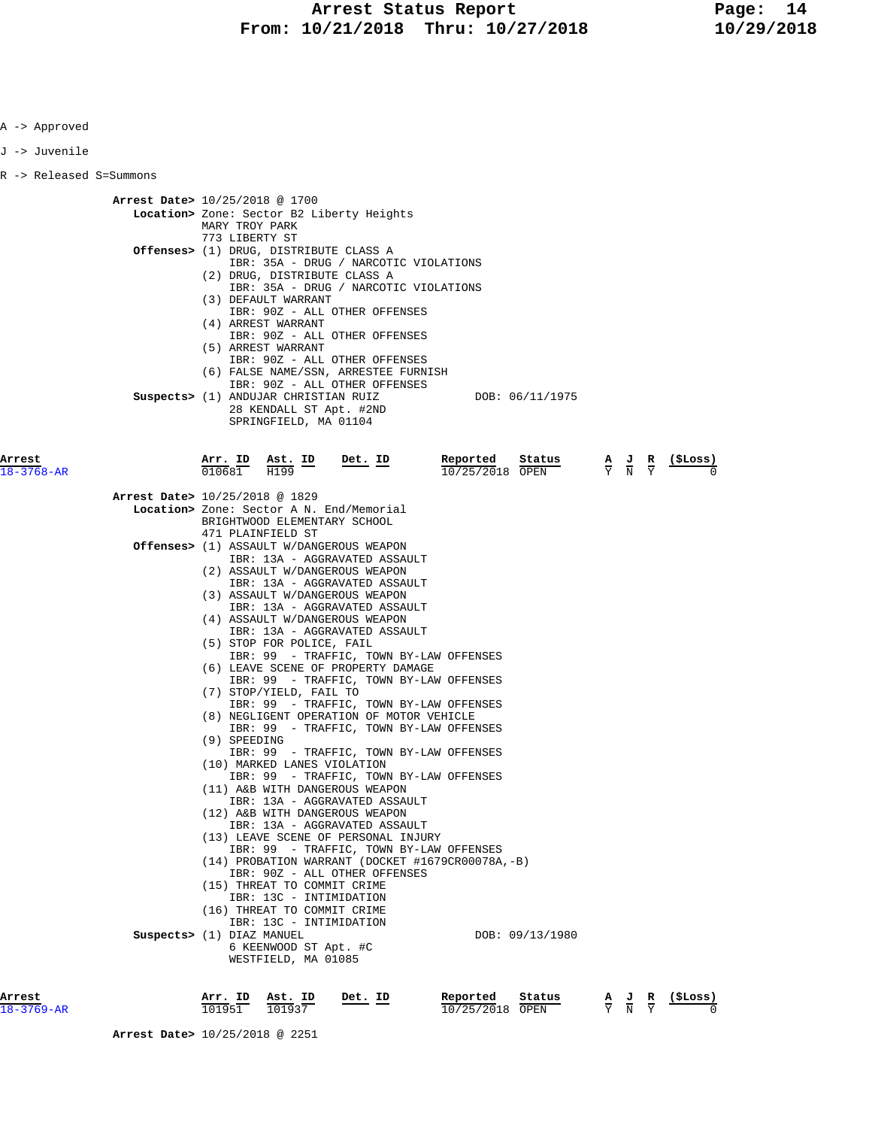| Approved |
|----------|
|----------|

J -> Juvenile

R -> Released S=Summons

 **Arrest Date>** 10/25/2018 @ 1700  **Location>** Zone: Sector B2 Liberty Heights MARY TROY PARK 773 LIBERTY ST  **Offenses>** (1) DRUG, DISTRIBUTE CLASS A IBR: 35A - DRUG / NARCOTIC VIOLATIONS (2) DRUG, DISTRIBUTE CLASS A IBR: 35A - DRUG / NARCOTIC VIOLATIONS (3) DEFAULT WARRANT IBR: 90Z - ALL OTHER OFFENSES (4) ARREST WARRANT IBR: 90Z - ALL OTHER OFFENSES (5) ARREST WARRANT IBR: 90Z - ALL OTHER OFFENSES (6) FALSE NAME/SSN, ARRESTEE FURNISH IBR: 90Z - ALL OTHER OFFENSES **Suspects>** (1) ANDUJAR CHRISTIAN RUIZ DOB: 06/11/1975 28 KENDALL ST Apt. #2ND SPRINGFIELD, MA 01104 **Arrest Arr. ID Ast. ID Det. ID Reported Status A J R (\$Loss)** 18-3768-AR 010681 H199 10/25/2018 OPEN Y N Y 0  **Arrest Date>** 10/25/2018 @ 1829  **Location>** Zone: Sector A N. End/Memorial BRIGHTWOOD ELEMENTARY SCHOOL 471 PLAINFIELD ST  **Offenses>** (1) ASSAULT W/DANGEROUS WEAPON IBR: 13A - AGGRAVATED ASSAULT (2) ASSAULT W/DANGEROUS WEAPON IBR: 13A - AGGRAVATED ASSAULT (3) ASSAULT W/DANGEROUS WEAPON IBR: 13A - AGGRAVATED ASSAULT (4) ASSAULT W/DANGEROUS WEAPON IBR: 13A - AGGRAVATED ASSAULT (5) STOP FOR POLICE, FAIL IBR: 99 - TRAFFIC, TOWN BY-LAW OFFENSES (6) LEAVE SCENE OF PROPERTY DAMAGE IBR: 99 - TRAFFIC, TOWN BY-LAW OFFENSES (7) STOP/YIELD, FAIL TO IBR: 99 - TRAFFIC, TOWN BY-LAW OFFENSES (8) NEGLIGENT OPERATION OF MOTOR VEHICLE IBR: 99 - TRAFFIC, TOWN BY-LAW OFFENSES (9) SPEEDING IBR: 99 - TRAFFIC, TOWN BY-LAW OFFENSES (10) MARKED LANES VIOLATION IBR: 99 - TRAFFIC, TOWN BY-LAW OFFENSES (11) A&B WITH DANGEROUS WEAPON IBR: 13A - AGGRAVATED ASSAULT (12) A&B WITH DANGEROUS WEAPON IBR: 13A - AGGRAVATED ASSAULT (13) LEAVE SCENE OF PERSONAL INJURY IBR: 99 - TRAFFIC, TOWN BY-LAW OFFENSES (14) PROBATION WARRANT (DOCKET #1679CR00078A,-B) IBR: 90Z - ALL OTHER OFFENSES (15) THREAT TO COMMIT CRIME IBR: 13C - INTIMIDATION (16) THREAT TO COMMIT CRIME IBR: 13C - INTIMIDATION **Suspects>** (1) DIAZ MANUEL DOB: 09/13/1980 6 KEENWOOD ST Apt. #C WESTFIELD, MA 01085

| Arrest           | Arr<br>ID. | ΙD<br>Ast. | ΙD<br>Det | Reported   | Status | JR | (\$Loss) |
|------------------|------------|------------|-----------|------------|--------|----|----------|
| $18 - 3769 - AR$ | 01951      | 01937      |           | 10/25/2018 | OPEN   | N  |          |

 **Arrest Date>** 10/25/2018 @ 2251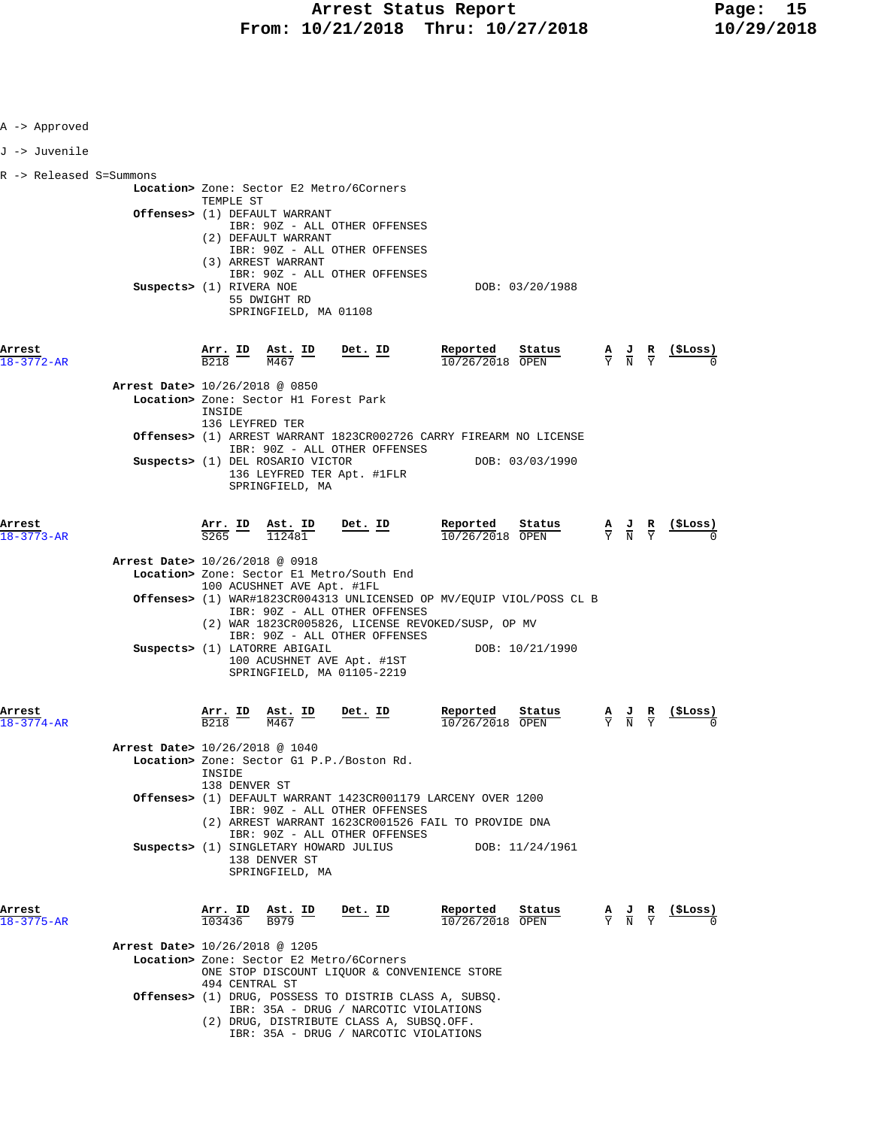| A -> Approved                                   |                                                                                                                                                                                                                                                                                                                                                                                                                                                                                                                                                                                                                                                                                |                                                          |                                                                                                 |                                                               |
|-------------------------------------------------|--------------------------------------------------------------------------------------------------------------------------------------------------------------------------------------------------------------------------------------------------------------------------------------------------------------------------------------------------------------------------------------------------------------------------------------------------------------------------------------------------------------------------------------------------------------------------------------------------------------------------------------------------------------------------------|----------------------------------------------------------|-------------------------------------------------------------------------------------------------|---------------------------------------------------------------|
| J -> Juvenile                                   |                                                                                                                                                                                                                                                                                                                                                                                                                                                                                                                                                                                                                                                                                |                                                          |                                                                                                 |                                                               |
| R -> Released S=Summons<br>Arrest<br>18-3772-AR | Location> Zone: Sector E2 Metro/6Corners<br>TEMPLE ST<br>Offenses> (1) DEFAULT WARRANT<br>IBR: 90Z - ALL OTHER OFFENSES<br>(2) DEFAULT WARRANT<br>IBR: 90Z - ALL OTHER OFFENSES<br>(3) ARREST WARRANT<br>IBR: 90Z - ALL OTHER OFFENSES<br>Suspects> (1) RIVERA NOE<br>55 DWIGHT RD<br>SPRINGFIELD, MA 01108<br>$\frac{\texttt{Arr.}}{\texttt{B218}}$ $\frac{\texttt{Ab}}{\texttt{M467}}$ $\frac{\texttt{ID}}{\texttt{M467}}$ $\frac{\texttt{Det.}}{\texttt{D}}$<br>Arrest Date> 10/26/2018 @ 0850<br>Location> Zone: Sector H1 Forest Park<br>INSIDE<br>136 LEYFRED TER<br>Offenses> (1) ARREST WARRANT 1823CR002726 CARRY FIREARM NO LICENSE<br>IBR: 90Z - ALL OTHER OFFENSES | DOB: 03/20/1988<br>Reported<br>Status<br>10/26/2018 OPEN |                                                                                                 | $\frac{A}{Y}$ $\frac{J}{N}$ $\frac{R}{Y}$ $\frac{($Loss)}{0}$ |
| Arrest                                          | Suspects> (1) DEL ROSARIO VICTOR<br>136 LEYFRED TER Apt. #1FLR<br>SPRINGFIELD, MA<br>Det. ID                                                                                                                                                                                                                                                                                                                                                                                                                                                                                                                                                                                   | DOB: 03/03/1990<br>Reported<br>Status                    |                                                                                                 |                                                               |
| $18 - 3773 - AR$                                | $\frac{\texttt{Arr. ID}}{\texttt{S265}}$<br><b>Ast. ID</b><br>112481<br>Arrest Date> 10/26/2018 @ 0918<br>Location> Zone: Sector El Metro/South End<br>100 ACUSHNET AVE Apt. #1FL<br>Offenses> (1) WAR#1823CR004313 UNLICENSED OP MV/EQUIP VIOL/POSS CL B<br>IBR: 90Z - ALL OTHER OFFENSES<br>(2) WAR 1823CR005826, LICENSE REVOKED/SUSP, OP MV<br>IBR: 90Z - ALL OTHER OFFENSES<br>Suspects> (1) LATORRE ABIGAIL<br>100 ACUSHNET AVE Apt. #1ST<br>SPRINGFIELD, MA 01105-2219                                                                                                                                                                                                  | 10/26/2018 OPEN<br>DOB: 10/21/1990                       | $\frac{A}{Y}$ $\frac{J}{N}$ $\frac{R}{Y}$                                                       |                                                               |
| Arrest<br>18-3774-AR                            | Arr. ID<br>Det. ID<br>Ast. ID<br>B <sub>218</sub><br>M467<br>Arrest Date> 10/26/2018 @ 1040<br>Location> Zone: Sector G1 P.P./Boston Rd.<br>INSIDE<br>138 DENVER ST<br>Offenses> (1) DEFAULT WARRANT 1423CR001179 LARCENY OVER 1200<br>IBR: 90Z - ALL OTHER OFFENSES<br>(2) ARREST WARRANT 1623CR001526 FAIL TO PROVIDE DNA<br>IBR: 90Z - ALL OTHER OFFENSES<br>Suspects> (1) SINGLETARY HOWARD JULIUS<br>138 DENVER ST<br>SPRINGFIELD, MA                                                                                                                                                                                                                                     | Reported<br>Status<br>10/26/2018 OPEN<br>DOB: 11/24/1961 | $\frac{A}{Y}$ $\frac{J}{N}$                                                                     |                                                               |
| Arrest<br>18-3775-AR                            | Arr. ID<br>Ast. ID<br><u>Det. ID</u><br>103436<br>B979<br>Arrest Date> 10/26/2018 @ 1205<br>Location> Zone: Sector E2 Metro/6Corners<br>ONE STOP DISCOUNT LIQUOR & CONVENIENCE STORE<br>494 CENTRAL ST<br>Offenses> (1) DRUG, POSSESS TO DISTRIB CLASS A, SUBSQ.<br>IBR: 35A - DRUG / NARCOTIC VIOLATIONS<br>(2) DRUG, DISTRIBUTE CLASS A, SUBSQ.OFF.<br>IBR: 35A - DRUG / NARCOTIC VIOLATIONS                                                                                                                                                                                                                                                                                 | Reported<br>Status<br>$\overline{10/26/2018}$ OPEN       | $\frac{\mathbf{A}}{\mathbf{Y}}$ $\frac{\mathbf{J}}{\mathbf{N}}$ $\frac{\mathbf{R}}{\mathbf{Y}}$ | <u>(SLoss)</u>                                                |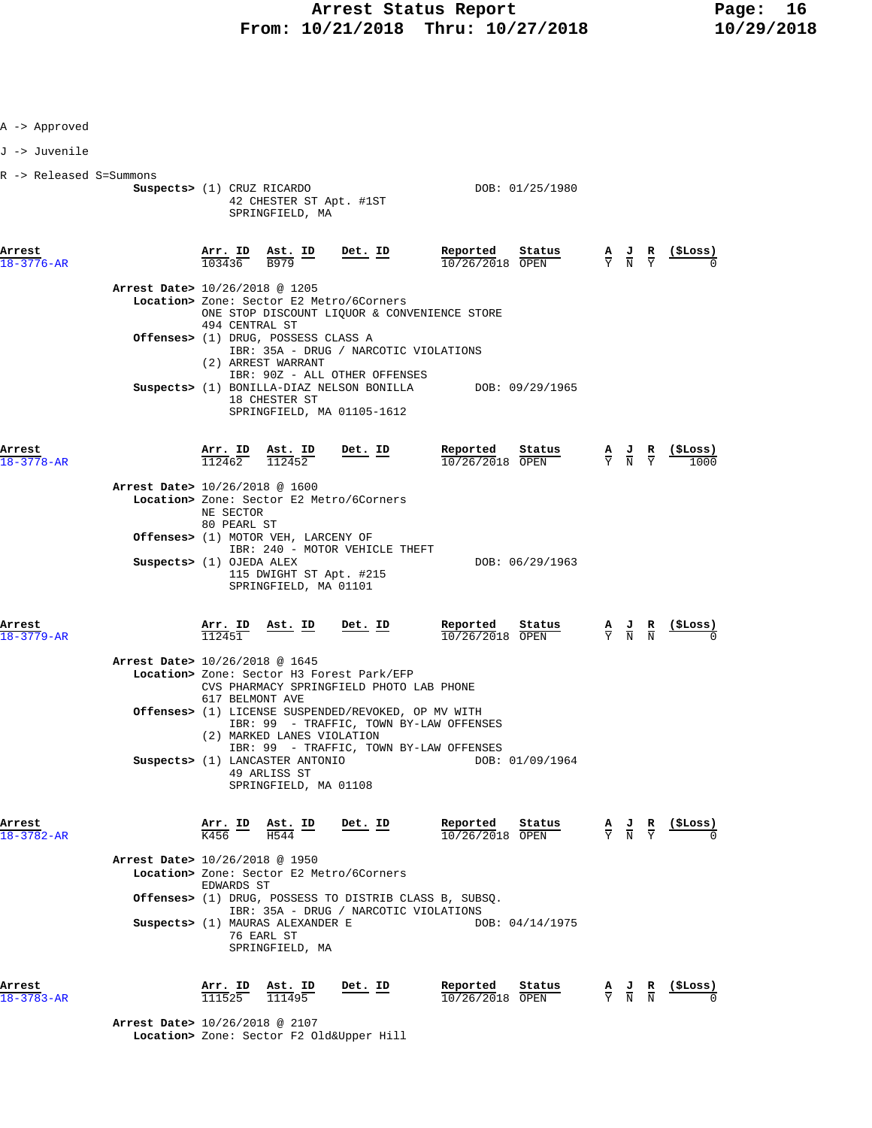| A -> Approved              |                                |                                   |                                                                          |                                                                                                                     |                                                                                                                                                                                                                                                    |  |                                                               |
|----------------------------|--------------------------------|-----------------------------------|--------------------------------------------------------------------------|---------------------------------------------------------------------------------------------------------------------|----------------------------------------------------------------------------------------------------------------------------------------------------------------------------------------------------------------------------------------------------|--|---------------------------------------------------------------|
| J -> Juvenile              |                                |                                   |                                                                          |                                                                                                                     |                                                                                                                                                                                                                                                    |  |                                                               |
| R -> Released S=Summons    | Suspects> (1) CRUZ RICARDO     |                                   | 42 CHESTER ST Apt. #1ST<br>SPRINGFIELD, MA                               |                                                                                                                     | DOB: 01/25/1980                                                                                                                                                                                                                                    |  |                                                               |
| Arrest<br>18-3776-AR       |                                |                                   |                                                                          | $\frac{\texttt{Arr. ID}}{103436}$ $\frac{\texttt{Ast. ID}}{\texttt{B979}}$ $\frac{\texttt{Det. ID}}{\texttt{D979}}$ | $\begin{array}{cccccc} \textbf{\texttt{Reported}} & \texttt{Status} & \texttt{A} & \texttt{J} & \texttt{R} & (\texttt{\texttt{SLoss}})\\ \hline 10/26/2018 & \texttt{OFEN} & & & \texttt{Y} & \texttt{N} & \texttt{Y} & 0 \end{array}$             |  |                                                               |
|                            | Arrest Date> 10/26/2018 @ 1205 |                                   |                                                                          | Location> Zone: Sector E2 Metro/6Corners                                                                            | ONE STOP DISCOUNT LIQUOR & CONVENIENCE STORE                                                                                                                                                                                                       |  |                                                               |
|                            |                                | 494 CENTRAL ST                    | Offenses> (1) DRUG, POSSESS CLASS A<br>(2) ARREST WARRANT                | IBR: 35A - DRUG / NARCOTIC VIOLATIONS                                                                               |                                                                                                                                                                                                                                                    |  |                                                               |
|                            |                                |                                   | 18 CHESTER ST                                                            | IBR: 90Z - ALL OTHER OFFENSES<br>SPRINGFIELD, MA 01105-1612                                                         | Suspects> (1) BONILLA-DIAZ NELSON BONILLA DOB: 09/29/1965                                                                                                                                                                                          |  |                                                               |
| Arrest<br>18-3778-AR       |                                |                                   | $\frac{\texttt{Arr.}}{112462}$ $\frac{\texttt{Ab.}}{112452}$ Det. ID     |                                                                                                                     | Reported<br>$\frac{\text{Status}}{\text{OPEN}}$ $\frac{A}{Y}$ $\frac{J}{N}$ $\frac{R}{Y}$<br>$10/26/2018$ OPEN                                                                                                                                     |  | (ŞLoss)                                                       |
|                            | Arrest Date> 10/26/2018 @ 1600 | NE SECTOR<br>80 PEARL ST          |                                                                          | Location> Zone: Sector E2 Metro/6Corners                                                                            |                                                                                                                                                                                                                                                    |  |                                                               |
|                            |                                |                                   | Offenses> (1) MOTOR VEH, LARCENY OF                                      | IBR: 240 - MOTOR VEHICLE THEFT                                                                                      |                                                                                                                                                                                                                                                    |  |                                                               |
|                            | Suspects> (1) OJEDA ALEX       |                                   | 115 DWIGHT ST Apt. #215<br>SPRINGFIELD, MA 01101                         |                                                                                                                     | DOB: 06/29/1963                                                                                                                                                                                                                                    |  |                                                               |
| Arrest<br>$18 - 3779 - AR$ |                                | <u>Arr. ID</u><br>112451          | Ast. ID Det. ID                                                          |                                                                                                                     | Reported<br>Status<br>10/26/2018 OPEN                                                                                                                                                                                                              |  | $\frac{A}{Y}$ $\frac{J}{N}$ $\frac{R}{N}$ (\$Loss)            |
|                            | Arrest Date> 10/26/2018 @ 1645 | 617 BELMONT AVE                   |                                                                          | Location> Zone: Sector H3 Forest Park/EFP<br>CVS PHARMACY SPRINGFIELD PHOTO LAB PHONE                               |                                                                                                                                                                                                                                                    |  |                                                               |
|                            |                                |                                   | (2) MARKED LANES VIOLATION                                               | Offenses> (1) LICENSE SUSPENDED/REVOKED, OP MV WITH                                                                 | IBR: 99 - TRAFFIC, TOWN BY-LAW OFFENSES                                                                                                                                                                                                            |  |                                                               |
|                            |                                |                                   | Suspects> (1) LANCASTER ANTONIO<br>49 ARLISS ST<br>SPRINGFIELD, MA 01108 |                                                                                                                     | IBR: 99 - TRAFFIC, TOWN BY-LAW OFFENSES<br>DOB: 01/09/1964                                                                                                                                                                                         |  |                                                               |
| Arrest<br>18-3782-AR       |                                |                                   |                                                                          | $\frac{\text{Arr.}}{\text{K456}}$ ID $\frac{\text{Ast.}}{\text{H544}}$ ID Det. ID                                   | $\begin{array}{cccccc} \textbf{Reported} & \textbf{Status} & \textbf{A} & \textbf{J} & \textbf{R} & (\texttt{SLoss}) \\ \hline 10/26/2018 & \text{OPEN} & & & \overline{\textbf{Y}} & \overline{\textbf{N}} & \overline{\textbf{Y}} & \end{array}$ |  |                                                               |
|                            | Arrest Date> 10/26/2018 @ 1950 | EDWARDS ST                        |                                                                          | Location> Zone: Sector E2 Metro/6Corners                                                                            |                                                                                                                                                                                                                                                    |  |                                                               |
|                            |                                |                                   |                                                                          | IBR: 35A - DRUG / NARCOTIC VIOLATIONS                                                                               | Offenses> (1) DRUG, POSSESS TO DISTRIB CLASS B, SUBSQ.                                                                                                                                                                                             |  |                                                               |
|                            |                                |                                   | Suspects> (1) MAURAS ALEXANDER E<br>76 EARL ST<br>SPRINGFIELD, MA        |                                                                                                                     | DOB: 04/14/1975                                                                                                                                                                                                                                    |  |                                                               |
| Arrest<br>18-3783-AR       |                                | $\frac{\texttt{Arr. ID}}{111525}$ | Ast. ID<br>111495                                                        | Det. ID                                                                                                             | Reported<br>Status<br>10/26/2018 OPEN                                                                                                                                                                                                              |  | $\frac{A}{Y}$ $\frac{J}{N}$ $\frac{R}{N}$ $\frac{($Loss)}{0}$ |

 **Arrest Date>** 10/26/2018 @ 2107  **Location>** Zone: Sector F2 Old&Upper Hill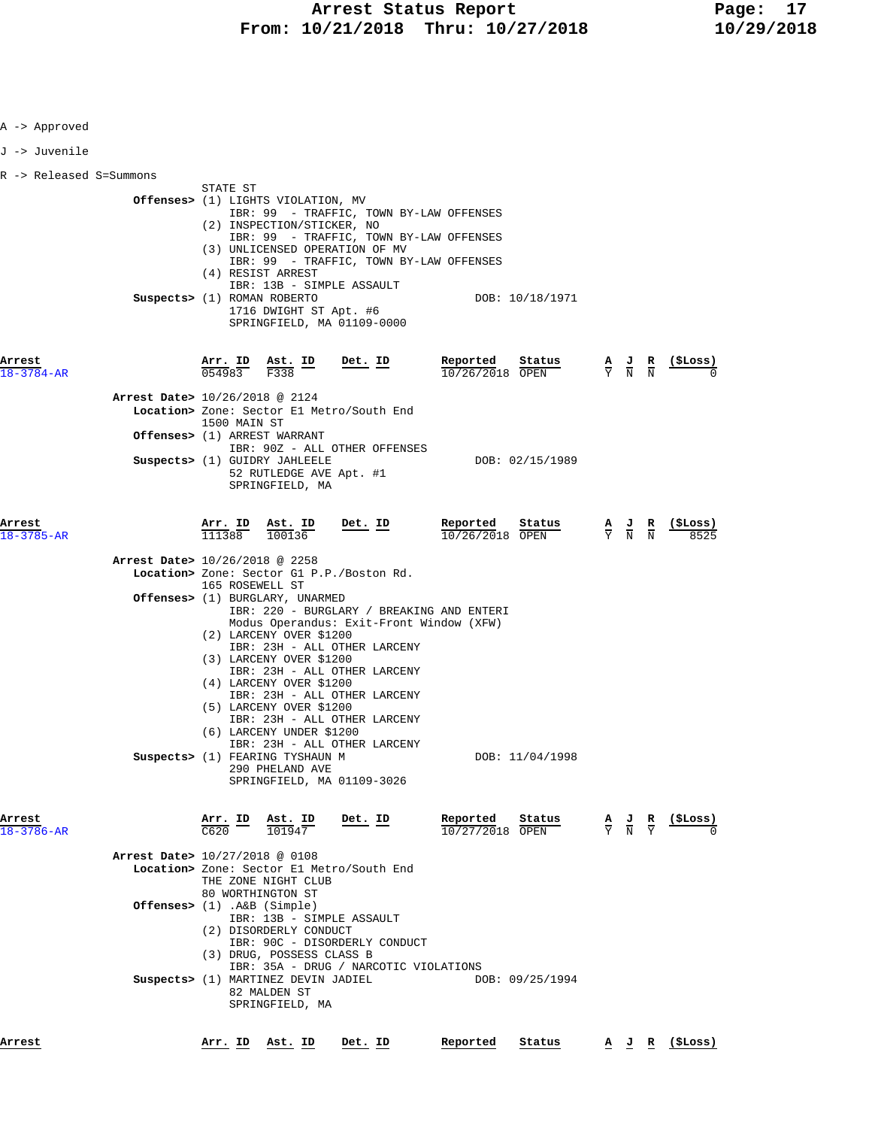| A -> Approved              |                                                                                                                                                                                                                                                                                     |                                                                                                 |                          |
|----------------------------|-------------------------------------------------------------------------------------------------------------------------------------------------------------------------------------------------------------------------------------------------------------------------------------|-------------------------------------------------------------------------------------------------|--------------------------|
| J -> Juvenile              |                                                                                                                                                                                                                                                                                     |                                                                                                 |                          |
| R -> Released S=Summons    |                                                                                                                                                                                                                                                                                     |                                                                                                 |                          |
|                            | STATE ST<br><b>Offenses&gt;</b> (1) LIGHTS VIOLATION, MV<br>IBR: 99 - TRAFFIC, TOWN BY-LAW OFFENSES<br>(2) INSPECTION/STICKER, NO<br>IBR: 99 - TRAFFIC, TOWN BY-LAW OFFENSES                                                                                                        |                                                                                                 |                          |
|                            | (3) UNLICENSED OPERATION OF MV<br>IBR: 99 - TRAFFIC, TOWN BY-LAW OFFENSES<br>(4) RESIST ARREST<br>IBR: 13B - SIMPLE ASSAULT<br>Suspects> (1) ROMAN ROBERTO<br>DOB: 10/18/1971                                                                                                       |                                                                                                 |                          |
|                            | 1716 DWIGHT ST Apt. #6<br>SPRINGFIELD, MA 01109-0000                                                                                                                                                                                                                                |                                                                                                 |                          |
| Arrest<br>18-3784-AR       | Arr. ID Ast. ID<br>Reported<br>Status<br>Det. ID<br>054983<br>F338<br>$10/26/2018$ OPEN                                                                                                                                                                                             | $\frac{A}{Y}$ $\frac{J}{N}$ $\frac{R}{N}$                                                       | (\$Loss)                 |
|                            | Arrest Date> 10/26/2018 @ 2124<br>Location> Zone: Sector El Metro/South End<br>1500 MAIN ST<br>Offenses> (1) ARREST WARRANT                                                                                                                                                         |                                                                                                 |                          |
|                            | IBR: 90Z - ALL OTHER OFFENSES<br>Suspects> (1) GUIDRY JAHLEELE<br>DOB: 02/15/1989<br>52 RUTLEDGE AVE Apt. #1<br>SPRINGFIELD, MA                                                                                                                                                     |                                                                                                 |                          |
| Arrest<br>18-3785-AR       | Reported<br>$\frac{\texttt{Arr.}}{111388} \quad \frac{\texttt{Ab.}}{100136}$<br>Det. ID<br>Sta <u>tus</u><br>10/26/2018 OPEN                                                                                                                                                        | $\frac{\mathbf{A}}{\mathbf{Y}}$ $\frac{\mathbf{J}}{\mathbf{N}}$ $\frac{\mathbf{R}}{\mathbf{N}}$ | ( <b>SLoss</b> )<br>8525 |
|                            | Arrest Date> 10/26/2018 @ 2258<br>Location> Zone: Sector G1 P.P./Boston Rd.<br>165 ROSEWELL ST                                                                                                                                                                                      |                                                                                                 |                          |
|                            | <b>Offenses&gt;</b> (1) BURGLARY, UNARMED<br>IBR: 220 - BURGLARY / BREAKING AND ENTERI<br>Modus Operandus: Exit-Front Window (XFW)<br>(2) LARCENY OVER \$1200<br>IBR: 23H - ALL OTHER LARCENY<br>(3) LARCENY OVER \$1200<br>IBR: 23H - ALL OTHER LARCENY<br>(4) LARCENY OVER \$1200 |                                                                                                 |                          |
|                            | IBR: 23H - ALL OTHER LARCENY<br>(5) LARCENY OVER \$1200<br>IBR: 23H - ALL OTHER LARCENY<br>(6) LARCENY UNDER \$1200<br>IBR: 23H - ALL OTHER LARCENY                                                                                                                                 |                                                                                                 |                          |
|                            | Suspects> (1) FEARING TYSHAUN M<br>DOB: 11/04/1998<br>290 PHELAND AVE<br>SPRINGFIELD, MA 01109-3026                                                                                                                                                                                 |                                                                                                 |                          |
| Arrest<br>$18 - 3786 - AR$ | Reported<br>Status<br>Det. ID<br>Arr. ID<br>Ast. ID<br>$\frac{101947}{101947}$<br>C620<br>10/27/2018 OPEN                                                                                                                                                                           | $\frac{A}{Y}$ $\frac{J}{N}$ $\frac{R}{Y}$                                                       | (\$Loss)                 |
|                            | Arrest Date> 10/27/2018 @ 0108<br>Location> Zone: Sector El Metro/South End<br>THE ZONE NIGHT CLUB<br>80 WORTHINGTON ST                                                                                                                                                             |                                                                                                 |                          |
|                            | Offenses> $(1)$ . A&B $(Simple)$<br>IBR: 13B - SIMPLE ASSAULT<br>(2) DISORDERLY CONDUCT<br>IBR: 90C - DISORDERLY CONDUCT                                                                                                                                                            |                                                                                                 |                          |
|                            | (3) DRUG, POSSESS CLASS B<br>IBR: 35A - DRUG / NARCOTIC VIOLATIONS<br>Suspects> (1) MARTINEZ DEVIN JADIEL<br>DOB: 09/25/1994<br>82 MALDEN ST<br>SPRINGFIELD, MA                                                                                                                     |                                                                                                 |                          |
| Arrest                     | Det. ID<br>Reported<br>Status<br><u>Arr. ID Ast. ID</u>                                                                                                                                                                                                                             |                                                                                                 | A J R (\$Loss)           |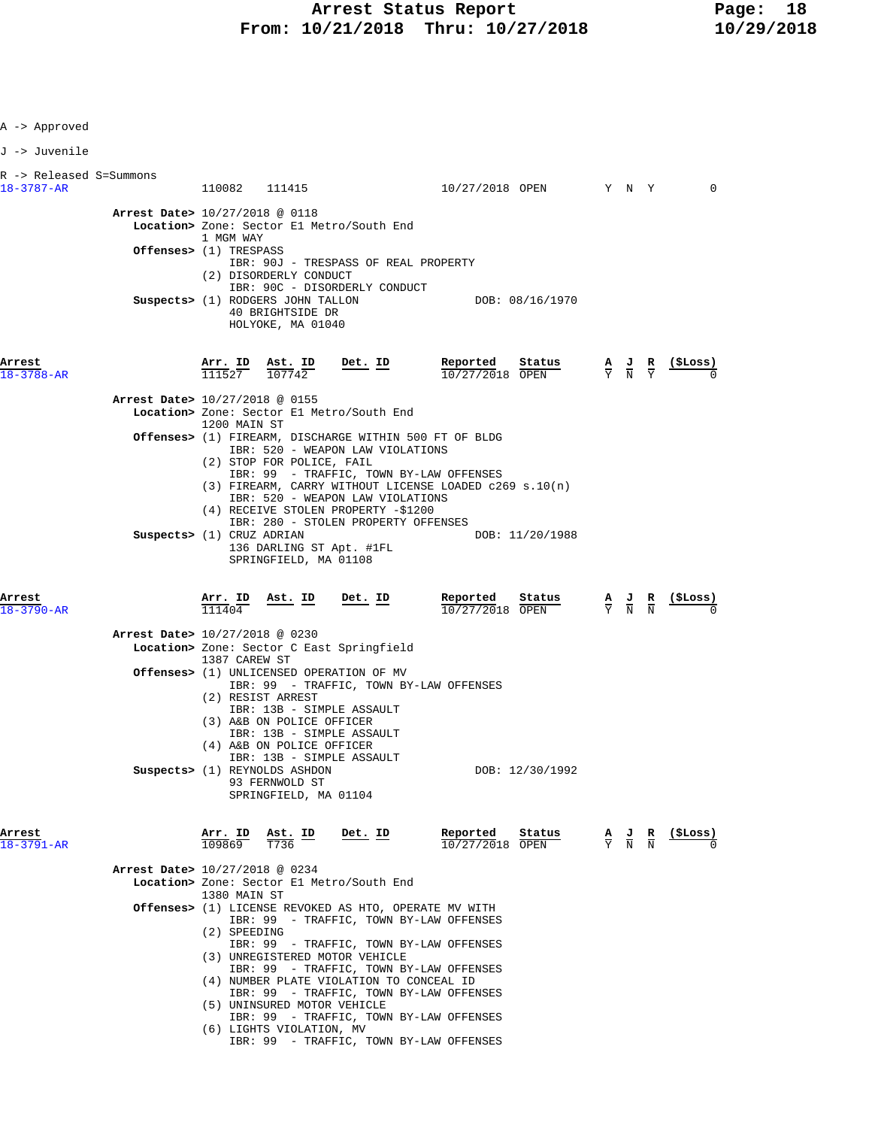| A -> Approved                                            |                                                                                                                                                                                                                                                                                                                                                                                                                                                       |                                         |                                                                                                 |                |
|----------------------------------------------------------|-------------------------------------------------------------------------------------------------------------------------------------------------------------------------------------------------------------------------------------------------------------------------------------------------------------------------------------------------------------------------------------------------------------------------------------------------------|-----------------------------------------|-------------------------------------------------------------------------------------------------|----------------|
| J -> Juvenile                                            |                                                                                                                                                                                                                                                                                                                                                                                                                                                       |                                         |                                                                                                 |                |
| R -> Released S=Summons<br>18-3787-AR                    | 110082 111415                                                                                                                                                                                                                                                                                                                                                                                                                                         | 10/27/2018 OPEN Y N Y                   |                                                                                                 | $\Omega$       |
|                                                          | Arrest Date> 10/27/2018 @ 0118<br>Location> Zone: Sector El Metro/South End<br>1 MGM WAY<br>Offenses> (1) TRESPASS<br>IBR: 90J - TRESPASS OF REAL PROPERTY<br>(2) DISORDERLY CONDUCT                                                                                                                                                                                                                                                                  |                                         |                                                                                                 |                |
|                                                          | IBR: 90C - DISORDERLY CONDUCT<br>Suspects> (1) RODGERS JOHN TALLON<br>40 BRIGHTSIDE DR<br>HOLYOKE, MA 01040                                                                                                                                                                                                                                                                                                                                           | DOB: 08/16/1970                         |                                                                                                 |                |
| Arrest<br>$18 - 3788 - AR$                               | Arr. ID Ast. ID<br>Det. ID<br>111527<br>107742                                                                                                                                                                                                                                                                                                                                                                                                        | Reported<br>Status<br>10/27/2018 OPEN   | $\frac{\mathbf{A}}{\mathbf{Y}}$ $\frac{\mathbf{J}}{\mathbf{N}}$ $\frac{\mathbf{R}}{\mathbf{Y}}$ | <u>(ŞLoss)</u> |
|                                                          | Arrest Date> 10/27/2018 @ 0155<br>Location> Zone: Sector El Metro/South End<br>1200 MAIN ST                                                                                                                                                                                                                                                                                                                                                           |                                         |                                                                                                 |                |
|                                                          | Offenses> (1) FIREARM, DISCHARGE WITHIN 500 FT OF BLDG<br>IBR: 520 - WEAPON LAW VIOLATIONS<br>(2) STOP FOR POLICE, FAIL<br>IBR: 99 - TRAFFIC, TOWN BY-LAW OFFENSES<br>$(3)$ FIREARM, CARRY WITHOUT LICENSE LOADED c269 s.10(n)                                                                                                                                                                                                                        |                                         |                                                                                                 |                |
|                                                          | IBR: 520 - WEAPON LAW VIOLATIONS<br>(4) RECEIVE STOLEN PROPERTY -\$1200<br>IBR: 280 - STOLEN PROPERTY OFFENSES<br>Suspects> (1) CRUZ ADRIAN<br>136 DARLING ST Apt. #1FL<br>SPRINGFIELD, MA 01108                                                                                                                                                                                                                                                      | DOB: 11/20/1988                         |                                                                                                 |                |
|                                                          |                                                                                                                                                                                                                                                                                                                                                                                                                                                       |                                         |                                                                                                 |                |
|                                                          | <u>Ast. ID</u><br><u>Det. ID</u><br><u>Arr. I</u> D<br>111404                                                                                                                                                                                                                                                                                                                                                                                         | Reported<br>Status<br>$10/27/2018$ OPEN | $\frac{A}{Y}$ $\frac{J}{N}$ $\frac{R}{N}$                                                       | <u>(ŞLoss)</u> |
|                                                          | Arrest Date> 10/27/2018 @ 0230<br>Location> Zone: Sector C East Springfield                                                                                                                                                                                                                                                                                                                                                                           |                                         |                                                                                                 |                |
|                                                          | 1387 CAREW ST<br><b>Offenses&gt;</b> (1) UNLICENSED OPERATION OF MV<br>IBR: 99 - TRAFFIC, TOWN BY-LAW OFFENSES<br>(2) RESIST ARREST<br>IBR: 13B - SIMPLE ASSAULT                                                                                                                                                                                                                                                                                      |                                         |                                                                                                 |                |
|                                                          | (3) A&B ON POLICE OFFICER<br>IBR: 13B - SIMPLE ASSAULT<br>(4) A&B ON POLICE OFFICER<br>IBR: 13B - SIMPLE ASSAULT<br>Suspects> (1) REYNOLDS ASHDON<br>93 FERNWOLD ST                                                                                                                                                                                                                                                                                   | DOB: 12/30/1992                         |                                                                                                 |                |
|                                                          | SPRINGFIELD, MA 01104<br>Arr. ID<br>Ast. ID<br>Det. ID<br>109869<br>T736                                                                                                                                                                                                                                                                                                                                                                              | Reported<br>Status<br>10/27/2018 OPEN   | $\frac{A}{Y}$ $\frac{J}{N}$ $\frac{R}{N}$                                                       | (\$Loss)       |
|                                                          | Arrest Date> 10/27/2018 @ 0234<br>Location> Zone: Sector El Metro/South End                                                                                                                                                                                                                                                                                                                                                                           |                                         |                                                                                                 |                |
| Arrest<br>$18 - 3790 - AR$<br>Arrest<br>$18 - 3791 - AR$ | 1380 MAIN ST<br>Offenses> (1) LICENSE REVOKED AS HTO, OPERATE MV WITH<br>IBR: 99 - TRAFFIC, TOWN BY-LAW OFFENSES<br>(2) SPEEDING<br>IBR: 99 - TRAFFIC, TOWN BY-LAW OFFENSES<br>(3) UNREGISTERED MOTOR VEHICLE<br>IBR: 99 - TRAFFIC, TOWN BY-LAW OFFENSES<br>(4) NUMBER PLATE VIOLATION TO CONCEAL ID<br>IBR: 99 - TRAFFIC, TOWN BY-LAW OFFENSES<br>(5) UNINSURED MOTOR VEHICLE<br>IBR: 99 - TRAFFIC, TOWN BY-LAW OFFENSES<br>(6) LIGHTS VIOLATION, MV |                                         |                                                                                                 |                |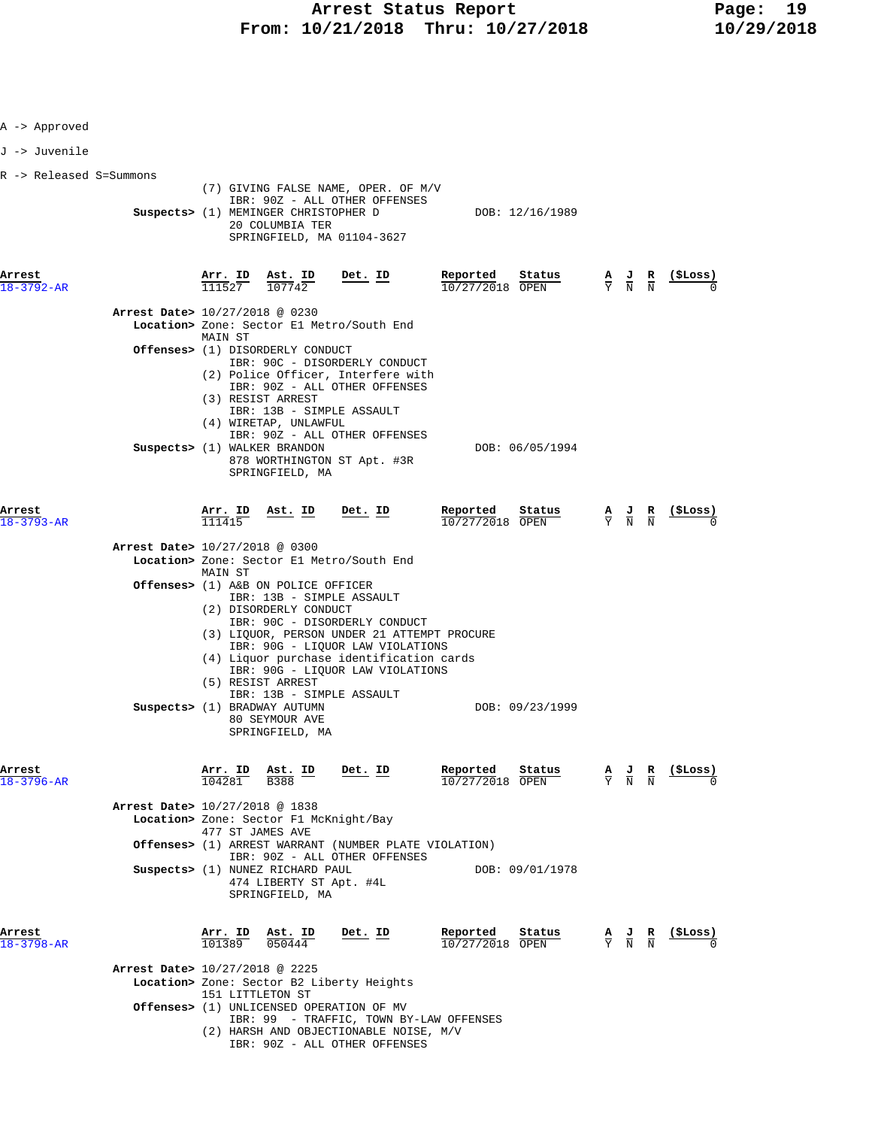| R -> Released S=Summons | $\frac{\texttt{Arr.}}{111527}$ | Suspects> (1) MEMINGER CHRISTOPHER D<br>20 COLUMBIA TER | (7) GIVING FALSE NAME, OPER. OF M/V<br>IBR: 90Z - ALL OTHER OFFENSES<br>SPRINGFIELD, MA 01104-3627                                                                                                                                                                                                             | DOB: 12/16/1989                                                                                                                                                                                                                                                                                                                                                                                                                                                                                                                                                                                                                                                                                                                                                                      |                                                                                                                                                                                                                                                                                                                                                                                  |                               |                                                                                                                                                                                                    |
|-------------------------|--------------------------------|---------------------------------------------------------|----------------------------------------------------------------------------------------------------------------------------------------------------------------------------------------------------------------------------------------------------------------------------------------------------------------|--------------------------------------------------------------------------------------------------------------------------------------------------------------------------------------------------------------------------------------------------------------------------------------------------------------------------------------------------------------------------------------------------------------------------------------------------------------------------------------------------------------------------------------------------------------------------------------------------------------------------------------------------------------------------------------------------------------------------------------------------------------------------------------|----------------------------------------------------------------------------------------------------------------------------------------------------------------------------------------------------------------------------------------------------------------------------------------------------------------------------------------------------------------------------------|-------------------------------|----------------------------------------------------------------------------------------------------------------------------------------------------------------------------------------------------|
|                         |                                |                                                         |                                                                                                                                                                                                                                                                                                                |                                                                                                                                                                                                                                                                                                                                                                                                                                                                                                                                                                                                                                                                                                                                                                                      |                                                                                                                                                                                                                                                                                                                                                                                  |                               |                                                                                                                                                                                                    |
|                         |                                |                                                         |                                                                                                                                                                                                                                                                                                                |                                                                                                                                                                                                                                                                                                                                                                                                                                                                                                                                                                                                                                                                                                                                                                                      |                                                                                                                                                                                                                                                                                                                                                                                  |                               |                                                                                                                                                                                                    |
|                         |                                |                                                         |                                                                                                                                                                                                                                                                                                                |                                                                                                                                                                                                                                                                                                                                                                                                                                                                                                                                                                                                                                                                                                                                                                                      |                                                                                                                                                                                                                                                                                                                                                                                  |                               |                                                                                                                                                                                                    |
|                         |                                | $\frac{\texttt{Ast.}}{107742}$                          | <u>Det. ID</u>                                                                                                                                                                                                                                                                                                 | Reported<br>Status<br>$10/27/2018$ OPEN                                                                                                                                                                                                                                                                                                                                                                                                                                                                                                                                                                                                                                                                                                                                              | $\frac{\mathbf{A}}{\mathbf{Y}}$ $\frac{\mathbf{J}}{\mathbf{N}}$ $\frac{\mathbf{R}}{\mathbf{N}}$                                                                                                                                                                                                                                                                                  |                               | (SLoss)                                                                                                                                                                                            |
|                         |                                | Arrest Date> 10/27/2018 @ 0230                          |                                                                                                                                                                                                                                                                                                                |                                                                                                                                                                                                                                                                                                                                                                                                                                                                                                                                                                                                                                                                                                                                                                                      |                                                                                                                                                                                                                                                                                                                                                                                  |                               |                                                                                                                                                                                                    |
|                         |                                |                                                         |                                                                                                                                                                                                                                                                                                                |                                                                                                                                                                                                                                                                                                                                                                                                                                                                                                                                                                                                                                                                                                                                                                                      |                                                                                                                                                                                                                                                                                                                                                                                  |                               |                                                                                                                                                                                                    |
|                         |                                |                                                         |                                                                                                                                                                                                                                                                                                                | DOB: 06/05/1994                                                                                                                                                                                                                                                                                                                                                                                                                                                                                                                                                                                                                                                                                                                                                                      |                                                                                                                                                                                                                                                                                                                                                                                  |                               |                                                                                                                                                                                                    |
|                         | Arr. ID<br>111415              | <u>Ast. ID</u>                                          | Det. ID                                                                                                                                                                                                                                                                                                        | Reported<br>Status<br>10/27/2018 OPEN                                                                                                                                                                                                                                                                                                                                                                                                                                                                                                                                                                                                                                                                                                                                                |                                                                                                                                                                                                                                                                                                                                                                                  |                               | (ŞLoss)                                                                                                                                                                                            |
|                         | MAIN ST                        |                                                         |                                                                                                                                                                                                                                                                                                                |                                                                                                                                                                                                                                                                                                                                                                                                                                                                                                                                                                                                                                                                                                                                                                                      |                                                                                                                                                                                                                                                                                                                                                                                  |                               |                                                                                                                                                                                                    |
|                         |                                |                                                         |                                                                                                                                                                                                                                                                                                                |                                                                                                                                                                                                                                                                                                                                                                                                                                                                                                                                                                                                                                                                                                                                                                                      |                                                                                                                                                                                                                                                                                                                                                                                  |                               |                                                                                                                                                                                                    |
|                         |                                |                                                         |                                                                                                                                                                                                                                                                                                                | DOB: 09/23/1999                                                                                                                                                                                                                                                                                                                                                                                                                                                                                                                                                                                                                                                                                                                                                                      |                                                                                                                                                                                                                                                                                                                                                                                  |                               |                                                                                                                                                                                                    |
|                         | 104281                         | Ast. ID<br><b>B388</b>                                  | Det. ID                                                                                                                                                                                                                                                                                                        | Reported<br>Status<br>10/27/2018 OPEN                                                                                                                                                                                                                                                                                                                                                                                                                                                                                                                                                                                                                                                                                                                                                |                                                                                                                                                                                                                                                                                                                                                                                  |                               | (SLoss)                                                                                                                                                                                            |
|                         |                                |                                                         |                                                                                                                                                                                                                                                                                                                |                                                                                                                                                                                                                                                                                                                                                                                                                                                                                                                                                                                                                                                                                                                                                                                      |                                                                                                                                                                                                                                                                                                                                                                                  |                               |                                                                                                                                                                                                    |
|                         |                                |                                                         |                                                                                                                                                                                                                                                                                                                |                                                                                                                                                                                                                                                                                                                                                                                                                                                                                                                                                                                                                                                                                                                                                                                      |                                                                                                                                                                                                                                                                                                                                                                                  |                               |                                                                                                                                                                                                    |
|                         |                                |                                                         | Det. ID                                                                                                                                                                                                                                                                                                        | Reported<br>Status                                                                                                                                                                                                                                                                                                                                                                                                                                                                                                                                                                                                                                                                                                                                                                   |                                                                                                                                                                                                                                                                                                                                                                                  |                               |                                                                                                                                                                                                    |
|                         |                                | 050444                                                  |                                                                                                                                                                                                                                                                                                                | $\overline{10/27/20}18$ OPEN                                                                                                                                                                                                                                                                                                                                                                                                                                                                                                                                                                                                                                                                                                                                                         |                                                                                                                                                                                                                                                                                                                                                                                  |                               |                                                                                                                                                                                                    |
|                         |                                | MAIN ST                                                 | (3) RESIST ARREST<br>Suspects> (1) WALKER BRANDON<br>Arrest Date> 10/27/2018 @ 0300<br>(5) RESIST ARREST<br>Suspects> (1) BRADWAY AUTUMN<br>80 SEYMOUR AVE<br>Arr. ID<br>Arrest Date> 10/27/2018 @ 1838<br>477 ST JAMES AVE<br>Arr. ID Ast. ID<br>101389<br>Arrest Date> 10/27/2018 @ 2225<br>151 LITTLETON ST | Location> Zone: Sector El Metro/South End<br>Offenses> (1) DISORDERLY CONDUCT<br>IBR: 90C - DISORDERLY CONDUCT<br>IBR: 90Z - ALL OTHER OFFENSES<br>IBR: 13B - SIMPLE ASSAULT<br>(4) WIRETAP, UNLAWFUL<br>IBR: 90Z - ALL OTHER OFFENSES<br>878 WORTHINGTON ST Apt. #3R<br>SPRINGFIELD, MA<br>Location> Zone: Sector El Metro/South End<br><b>Offenses&gt;</b> (1) A&B ON POLICE OFFICER<br>IBR: 13B - SIMPLE ASSAULT<br>(2) DISORDERLY CONDUCT<br>IBR: 90C - DISORDERLY CONDUCT<br>IBR: 13B - SIMPLE ASSAULT<br>SPRINGFIELD, MA<br>Location> Zone: Sector F1 McKnight/Bay<br>IBR: 90Z - ALL OTHER OFFENSES<br>Suspects> (1) NUNEZ RICHARD PAUL<br>474 LIBERTY ST Apt. #4L<br>SPRINGFIELD, MA<br>Location> Zone: Sector B2 Liberty Heights<br>Offenses> (1) UNLICENSED OPERATION OF MV | (2) Police Officer, Interfere with<br>(3) LIQUOR, PERSON UNDER 21 ATTEMPT PROCURE<br>IBR: 90G - LIQUOR LAW VIOLATIONS<br>(4) Liquor purchase identification cards<br>IBR: 90G - LIQUOR LAW VIOLATIONS<br><b>Offenses&gt;</b> (1) ARREST WARRANT (NUMBER PLATE VIOLATION)<br>DOB: 09/01/1978<br>IBR: 99 - TRAFFIC, TOWN BY-LAW OFFENSES<br>(2) HARSH AND OBJECTIONABLE NOISE, M/V | IBR: 90Z - ALL OTHER OFFENSES | $\frac{A}{Y}$ $\frac{J}{N}$ $\frac{R}{N}$<br>$\frac{\mathbf{A}}{\mathbf{Y}}$ $\frac{\mathbf{J}}{\mathbf{N}}$ $\frac{\mathbf{R}}{\mathbf{N}}$<br>$\frac{A}{Y}$ $\frac{J}{N}$ $\frac{R}{N}$ (\$Loss) |